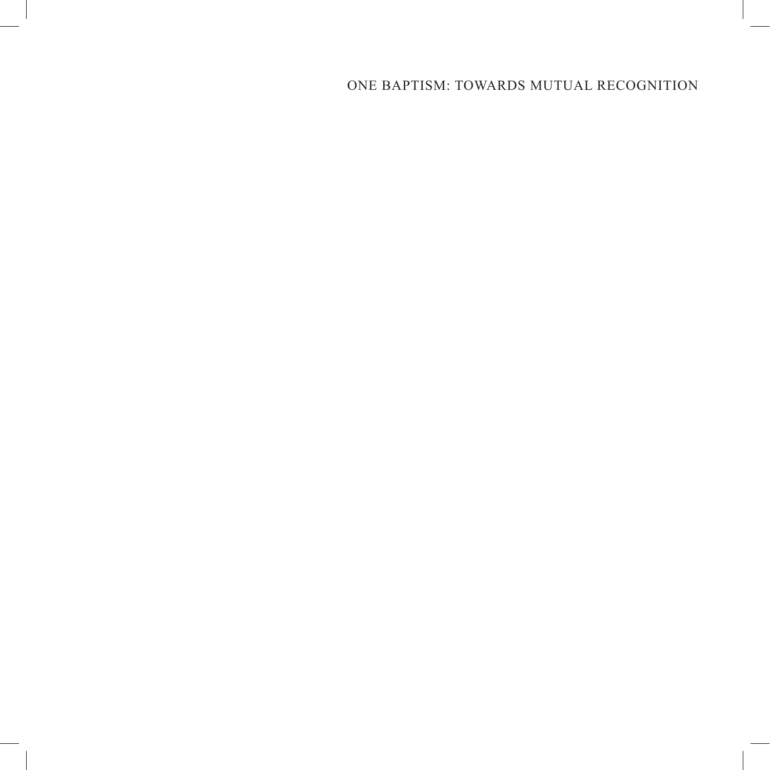# ONE BAPTISM: TOWARDS MUTUAL RECOGNITION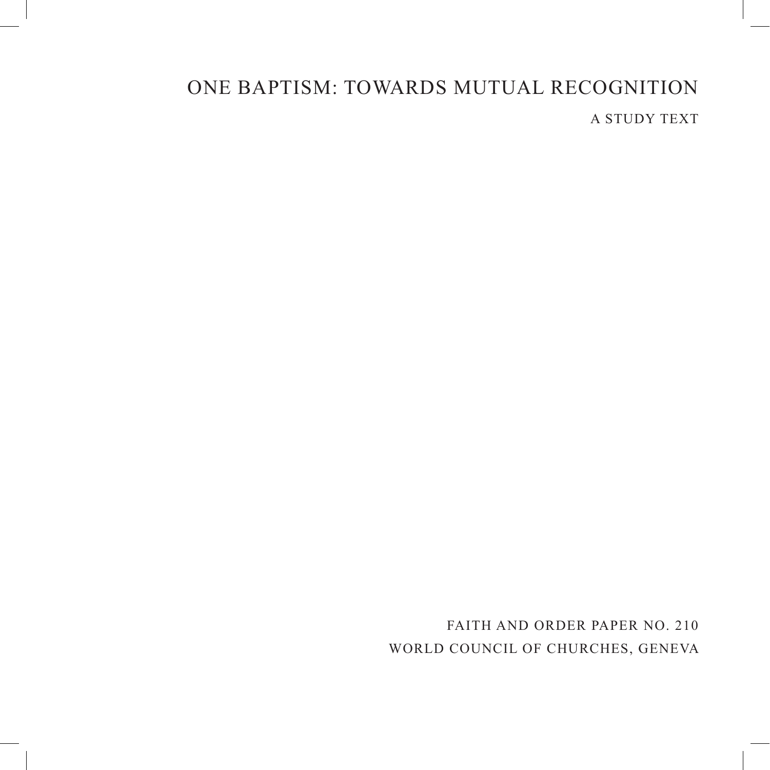# ONE BAPTISM: TOWARDS MUTUAL RECOGNITION A STUDY TEXT

FAITH AND ORDER PAPER NO. 210 WORLD COUNCIL OF CHURCHES, GENEVA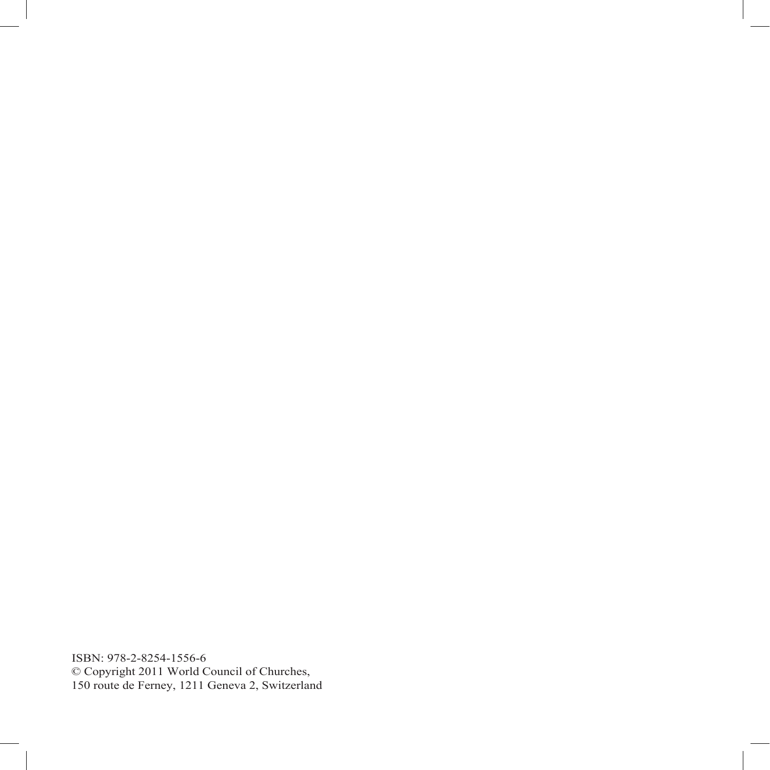ISBN: 978-2-8254-1556-6 © Copyright 2011 World Council of Churches, 150 route de Ferney, 1211 Geneva 2, Switzerland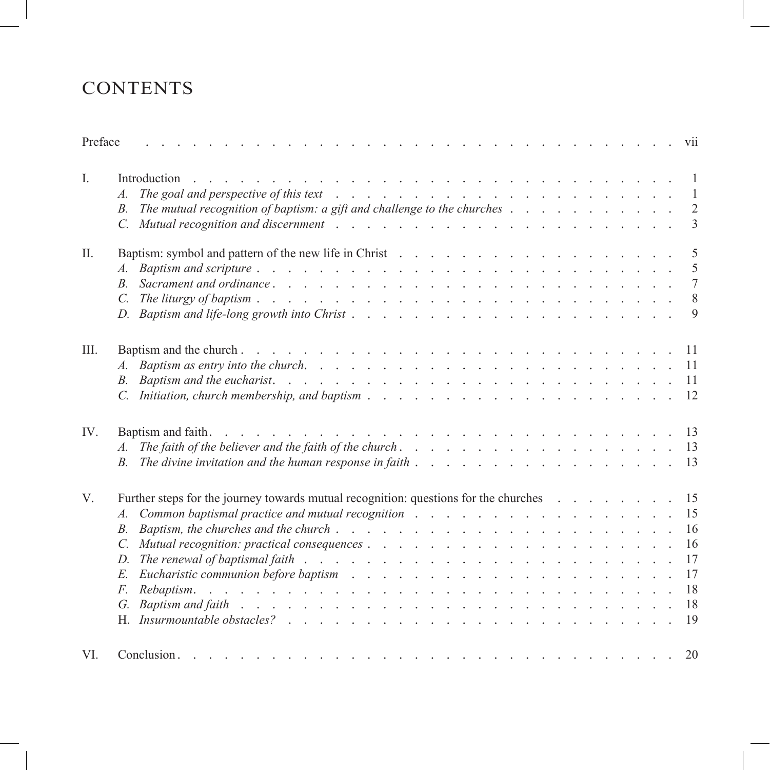# **CONTENTS**

| Preface     | and the contract of the contract of the contract of the contract of the contract of the contract of the contract of the contract of the contract of the contract of the contract of the contract of the contract of the contra<br>$\sim$      |  |  |  |  | <b>V11</b>     |
|-------------|-----------------------------------------------------------------------------------------------------------------------------------------------------------------------------------------------------------------------------------------------|--|--|--|--|----------------|
| $I_{\cdot}$ | Introduction<br>and a construction of the construction of the construction of the construction of the construction of the construction of the construction of the construction of the construction of the construction of the construction of |  |  |  |  | $\overline{1}$ |
|             | The goal and perspective of this text $\ldots$ $\ldots$ $\ldots$ $\ldots$ $\ldots$ $\ldots$ $\ldots$ $\ldots$ $\ldots$                                                                                                                        |  |  |  |  |                |
|             | The mutual recognition of baptism: a gift and challenge to the churches $\ldots$ , $\ldots$ , $\ldots$ , $\ldots$<br>B.                                                                                                                       |  |  |  |  | 2              |
|             | C. Mutual recognition and discernment example is a contracted with the contracted of the contracted with the contracted with the contracted with the contracted with the contracted with the contracted with the contracted wi                |  |  |  |  | $\overline{3}$ |
| $\prod$     |                                                                                                                                                                                                                                               |  |  |  |  | - 5            |
|             |                                                                                                                                                                                                                                               |  |  |  |  | -5             |
|             | $B_{-}$                                                                                                                                                                                                                                       |  |  |  |  | 7              |
|             | C. The liturey of baptism $\ldots$ $\ldots$ $\ldots$ $\ldots$ $\ldots$ $\ldots$ $\ldots$ $\ldots$ $\ldots$ $\ldots$ $\ldots$ $\ldots$ $\ldots$ 8                                                                                              |  |  |  |  |                |
|             |                                                                                                                                                                                                                                               |  |  |  |  | $\overline{9}$ |
| III.        |                                                                                                                                                                                                                                               |  |  |  |  | -11            |
|             | Baptism as entry into the church. $\ldots$ $\ldots$ $\ldots$ $\ldots$ $\ldots$ $\ldots$ $\ldots$ $\ldots$ $\ldots$ $\ldots$ $\ldots$                                                                                                          |  |  |  |  |                |
|             |                                                                                                                                                                                                                                               |  |  |  |  |                |
|             | C. Initiation, church membership, and baptism $\ldots$ $\ldots$ $\ldots$ $\ldots$ $\ldots$ $\ldots$ $\ldots$ $\ldots$ $\ldots$ $\ldots$ $\ldots$                                                                                              |  |  |  |  |                |
| IV.         | Baptism and faith.                                                                                                                                                                                                                            |  |  |  |  |                |
|             |                                                                                                                                                                                                                                               |  |  |  |  |                |
|             |                                                                                                                                                                                                                                               |  |  |  |  |                |
| V.          | Further steps for the journey towards mutual recognition: questions for the churches                                                                                                                                                          |  |  |  |  | -15            |
|             | Common baptismal practice and mutual recognition enters is a contracted with the contraction of the contracted with the contracted with the contracted with the contracted with the contracted with the contracted with the co                |  |  |  |  | 15             |
|             | $B_{\cdot}$                                                                                                                                                                                                                                   |  |  |  |  | -16            |
|             | $\mathcal{C}$                                                                                                                                                                                                                                 |  |  |  |  | 16             |
|             | D. The renewal of baptismal faith $\ldots$ $\ldots$ $\ldots$ $\ldots$ $\ldots$ $\ldots$ $\ldots$ $\ldots$ $\ldots$ $\ldots$                                                                                                                   |  |  |  |  | 17             |
|             |                                                                                                                                                                                                                                               |  |  |  |  | 17             |
|             | $F_{\cdot}$                                                                                                                                                                                                                                   |  |  |  |  | 18             |
|             |                                                                                                                                                                                                                                               |  |  |  |  | 18             |
|             |                                                                                                                                                                                                                                               |  |  |  |  | 19             |
| VI.         | Conclusion                                                                                                                                                                                                                                    |  |  |  |  | 20             |
|             |                                                                                                                                                                                                                                               |  |  |  |  |                |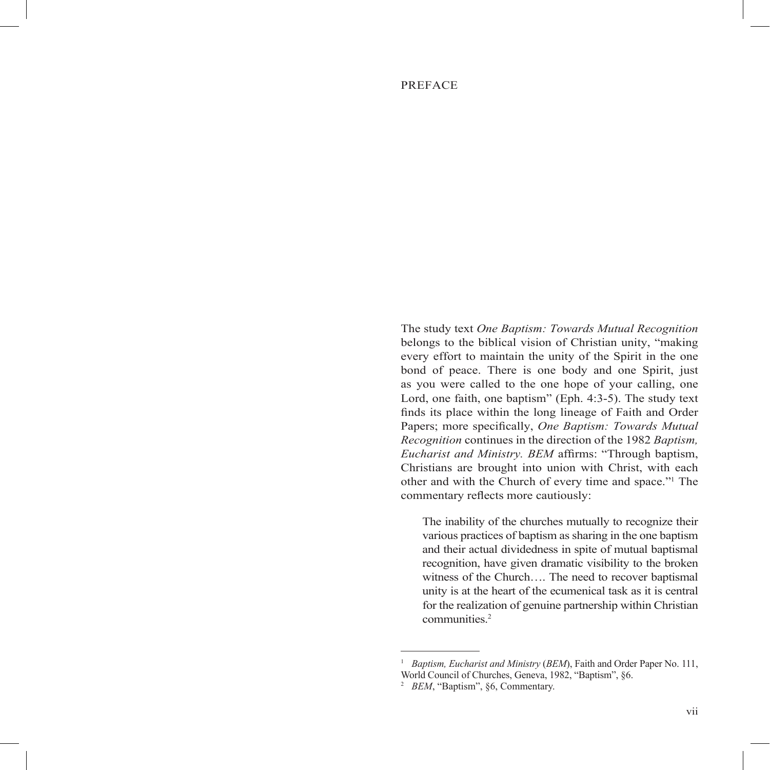#### PREFACE

The study text *One Baptism: Towards Mutual Recognition* belongs to the biblical vision of Christian unity, "making every effort to maintain the unity of the Spirit in the one bond of peace. There is one body and one Spirit, just as you were called to the one hope of your calling, one Lord, one faith, one baptism" (Eph. 4:3-5). The study text finds its place within the long lineage of Faith and Order Papers; more specifically, *One Baptism: Towards Mutual Recognition* continues in the direction of the 1982 *Baptism, Eucharist and Ministry. BEM* affirms: "Through baptism, Christians are brought into union with Christ, with each other and with the Church of every time and space."1 The commentary reflects more cautiously:

The inability of the churches mutually to recognize their various practices of baptism as sharing in the one baptism and their actual dividedness in spite of mutual baptismal recognition, have given dramatic visibility to the broken witness of the Church…. The need to recover baptismal unity is at the heart of the ecumenical task as it is central for the realization of genuine partnership within Christian communities.<sup>2</sup>

<sup>1</sup>  *Baptism, Eucharist and Ministry* (*BEM*), Faith and Order Paper No. 111, World Council of Churches, Geneva, 1982, "Baptism", §6.

<sup>&</sup>lt;sup>2</sup> *BEM*, "Baptism", §6, Commentary.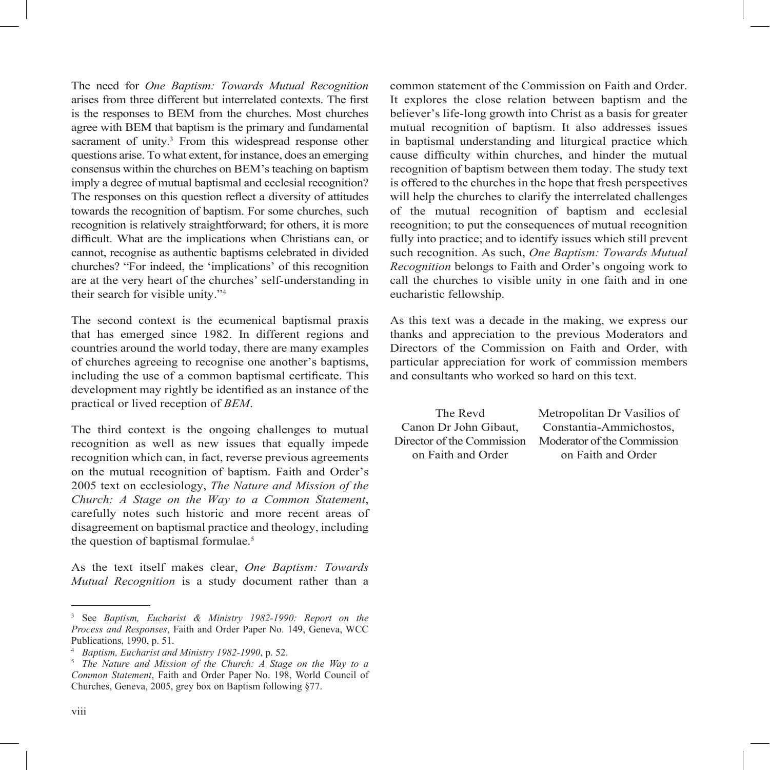The need for *One Baptism: Towards Mutual Recognition* arises from three different but interrelated contexts. The first is the responses to BEM from the churches. Most churches agree with BEM that baptism is the primary and fundamental sacrament of unity.<sup>3</sup> From this widespread response other questions arise. To what extent, for instance, does an emerging consensus within the churches on BEM's teaching on baptism imply a degree of mutual baptismal and ecclesial recognition? The responses on this question reflect a diversity of attitudes towards the recognition of baptism. For some churches, such recognition is relatively straightforward; for others, it is more difficult. What are the implications when Christians can, or cannot, recognise as authentic baptisms celebrated in divided churches? "For indeed, the 'implications' of this recognition are at the very heart of the churches' self-understanding in their search for visible unity."4

The second context is the ecumenical baptismal praxis that has emerged since 1982. In different regions and countries around the world today, there are many examples of churches agreeing to recognise one another's baptisms, including the use of a common baptismal certificate. This development may rightly be identified as an instance of the practical or lived reception of *BEM*.

The third context is the ongoing challenges to mutual recognition as well as new issues that equally impede recognition which can, in fact, reverse previous agreements on the mutual recognition of baptism. Faith and Order's 2005 text on ecclesiology, *The Nature and Mission of the Church: A Stage on the Way to a Common Statement*, carefully notes such historic and more recent areas of disagreement on baptismal practice and theology, including the question of baptismal formulae.<sup>5</sup>

As the text itself makes clear, *One Baptism: Towards Mutual Recognition* is a study document rather than a common statement of the Commission on Faith and Order. It explores the close relation between baptism and the believer's life-long growth into Christ as a basis for greater mutual recognition of baptism. It also addresses issues in baptismal understanding and liturgical practice which cause difficulty within churches, and hinder the mutual recognition of baptism between them today. The study text is offered to the churches in the hope that fresh perspectives will help the churches to clarify the interrelated challenges of the mutual recognition of baptism and ecclesial recognition; to put the consequences of mutual recognition fully into practice; and to identify issues which still prevent such recognition. As such, *One Baptism: Towards Mutual Recognition* belongs to Faith and Order's ongoing work to call the churches to visible unity in one faith and in one eucharistic fellowship.

As this text was a decade in the making, we express our thanks and appreciation to the previous Moderators and Directors of the Commission on Faith and Order, with particular appreciation for work of commission members and consultants who worked so hard on this text.

The Revd Canon Dr John Gibaut, Director of the Commission on Faith and Order

Metropolitan Dr Vasilios of Constantia-Ammichostos, Moderator of the Commission on Faith and Order

<sup>3</sup> See *Baptism, Eucharist & Ministry 1982-1990: Report on the Process and Responses*, Faith and Order Paper No. 149, Geneva, WCC Publications,  $1990$ , p. 51.

<sup>4</sup>  *Baptism, Eucharist and Ministry 1982-1990*, p. 52.

<sup>&</sup>lt;sup>5</sup> The Nature and Mission of the Church: A Stage on the Way to a *Common Statement*, Faith and Order Paper No. 198, World Council of Churches, Geneva, 2005, grey box on Baptism following §77.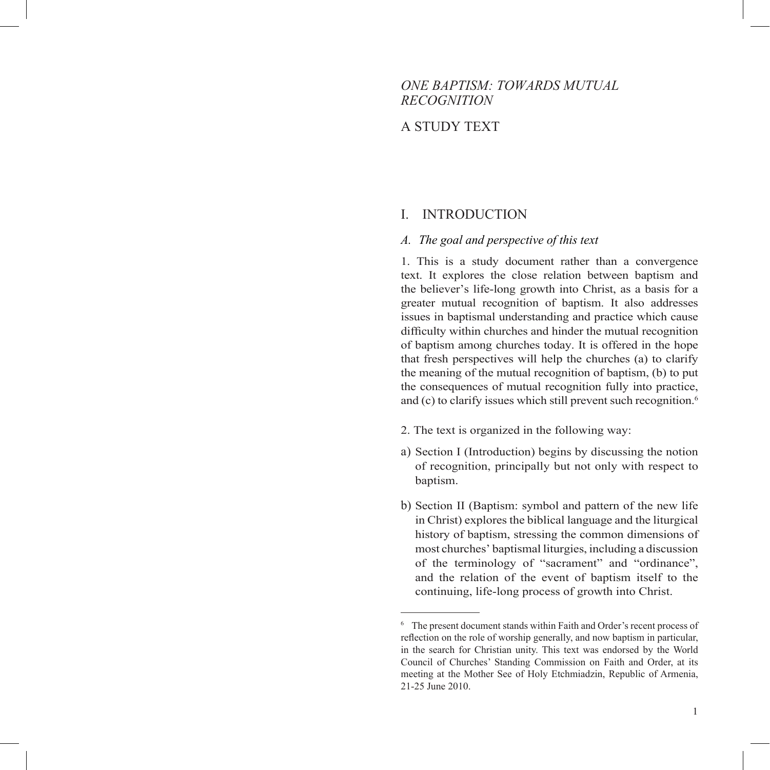# *ONE BAPTISM: TOWARDS MUTUAL RECOGNITION*

# A STUDY TEXT

#### I. INTRODUCTION

#### *A. The goal and perspective of this text*

1. This is a study document rather than a convergence text. It explores the close relation between baptism and the believer's life-long growth into Christ, as a basis for a greater mutual recognition of baptism. It also addresses issues in baptismal understanding and practice which cause difficulty within churches and hinder the mutual recognition of baptism among churches today. It is offered in the hope that fresh perspectives will help the churches (a) to clarify the meaning of the mutual recognition of baptism, (b) to put the consequences of mutual recognition fully into practice, and (c) to clarify issues which still prevent such recognition.<sup>6</sup>

- 2. The text is organized in the following way:
- a) Section I (Introduction) begins by discussing the notion of recognition, principally but not only with respect to baptism.
- b) Section II (Baptism: symbol and pattern of the new life in Christ) explores the biblical language and the liturgical history of baptism, stressing the common dimensions of most churches' baptismal liturgies, including a discussion of the terminology of "sacrament" and "ordinance", and the relation of the event of baptism itself to the continuing, life-long process of growth into Christ.

<sup>&</sup>lt;sup>6</sup> The present document stands within Faith and Order's recent process of reflection on the role of worship generally, and now baptism in particular, in the search for Christian unity. This text was endorsed by the World Council of Churches' Standing Commission on Faith and Order, at its meeting at the Mother See of Holy Etchmiadzin, Republic of Armenia, 21-25 June 2010.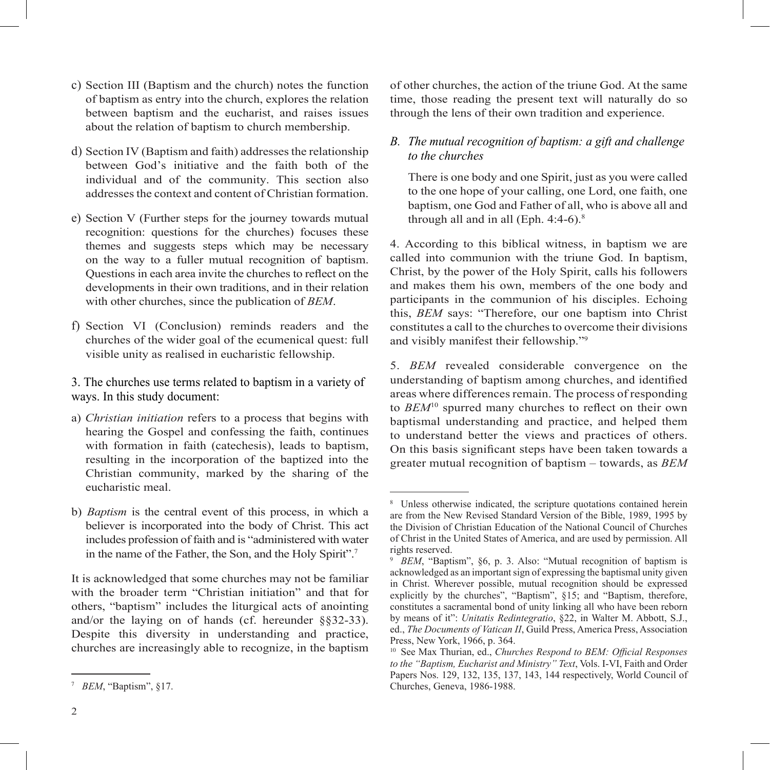- c) Section III (Baptism and the church) notes the function of baptism as entry into the church, explores the relation between baptism and the eucharist, and raises issues about the relation of baptism to church membership.
- d) Section IV (Baptism and faith) addresses the relationship between God's initiative and the faith both of the individual and of the community. This section also addresses the context and content of Christian formation.
- e) Section V (Further steps for the journey towards mutual recognition: questions for the churches) focuses these themes and suggests steps which may be necessary on the way to a fuller mutual recognition of baptism. Questions in each area invite the churches to reflect on the developments in their own traditions, and in their relation with other churches, since the publication of *BEM*.
- f) Section VI (Conclusion) reminds readers and the churches of the wider goal of the ecumenical quest: full visible unity as realised in eucharistic fellowship.
- 3. The churches use terms related to baptism in a variety of ways. In this study document:
- a) *Christian initiation* refers to a process that begins with hearing the Gospel and confessing the faith, continues with formation in faith (catechesis), leads to baptism, resulting in the incorporation of the baptized into the Christian community, marked by the sharing of the eucharistic meal.
- b) *Baptism* is the central event of this process, in which a believer is incorporated into the body of Christ. This act includes profession of faith and is "administered with water in the name of the Father, the Son, and the Holy Spirit".7

It is acknowledged that some churches may not be familiar with the broader term "Christian initiation" and that for others, "baptism" includes the liturgical acts of anointing and/or the laying on of hands (cf. hereunder §§32-33). Despite this diversity in understanding and practice, churches are increasingly able to recognize, in the baptism of other churches, the action of the triune God. At the same time, those reading the present text will naturally do so through the lens of their own tradition and experience.

# *B. The mutual recognition of baptism: a gift and challenge to the churches*

There is one body and one Spirit, just as you were called to the one hope of your calling, one Lord, one faith, one baptism, one God and Father of all, who is above all and through all and in all  $(Eph. 4:4-6).$ <sup>8</sup>

4. According to this biblical witness, in baptism we are called into communion with the triune God. In baptism, Christ, by the power of the Holy Spirit, calls his followers and makes them his own, members of the one body and participants in the communion of his disciples. Echoing this, *BEM* says: "Therefore, our one baptism into Christ constitutes a call to the churches to overcome their divisions and visibly manifest their fellowship."9

5. *BEM* revealed considerable convergence on the understanding of baptism among churches, and identified areas where differences remain. The process of responding to *BEM*<sup>10</sup> spurred many churches to reflect on their own baptismal understanding and practice, and helped them to understand better the views and practices of others. On this basis significant steps have been taken towards a greater mutual recognition of baptism – towards, as *BEM*

<sup>7</sup>  *BEM*, "Baptism", §17.

<sup>&</sup>lt;sup>8</sup> Unless otherwise indicated, the scripture quotations contained herein are from the New Revised Standard Version of the Bible, 1989, 1995 by the Division of Christian Education of the National Council of Churches of Christ in the United States of America, and are used by permission. All rights reserved.

<sup>&</sup>lt;sup>9</sup> *BEM*, "Baptism", §6, p. 3. Also: "Mutual recognition of baptism is acknowledged as an important sign of expressing the baptismal unity given in Christ. Wherever possible, mutual recognition should be expressed explicitly by the churches", "Baptism", §15; and "Baptism, therefore, constitutes a sacramental bond of unity linking all who have been reborn by means of it": *Unitatis Redintegratio*, §22, in Walter M. Abbott, S.J., ed., *The Documents of Vatican II*, Guild Press, America Press, Association Press, New York, 1966, p. 364.

<sup>&</sup>lt;sup>10</sup> See Max Thurian, ed., *Churches Respond to BEM: Official Responses to the "Baptism, Eucharist and Ministry" Text*, Vols. I-VI, Faith and Order Papers Nos. 129, 132, 135, 137, 143, 144 respectively, World Council of Churches, Geneva, 1986-1988.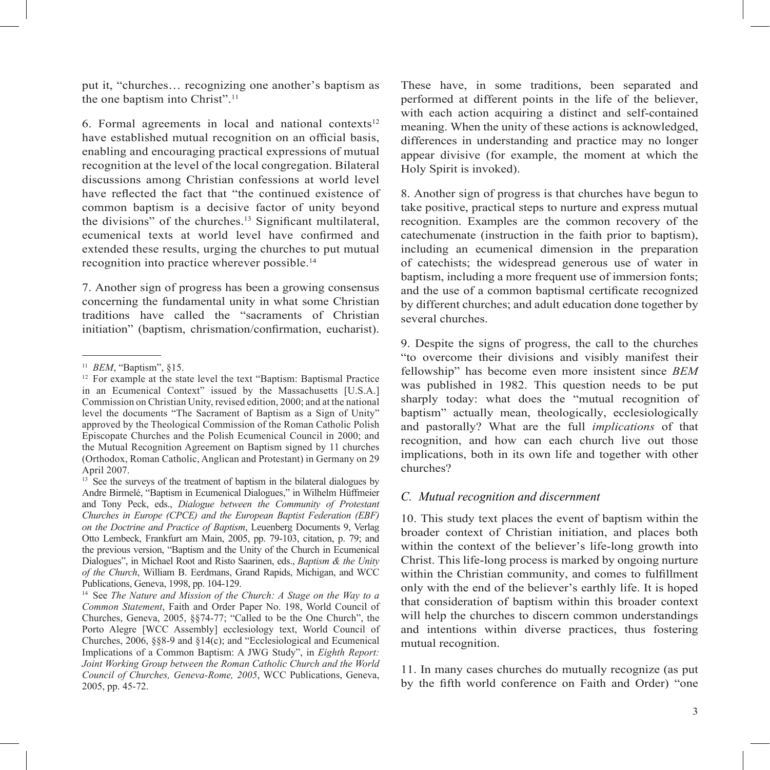put it, "churches… recognizing one another's baptism as the one baptism into Christ".11

6. Formal agreements in local and national contexts $12$ have established mutual recognition on an official basis, enabling and encouraging practical expressions of mutual recognition at the level of the local congregation. Bilateral discussions among Christian confessions at world level have reflected the fact that "the continued existence of common baptism is a decisive factor of unity beyond the divisions" of the churches. $13$  Significant multilateral, ecumenical texts at world level have confirmed and extended these results, urging the churches to put mutual recognition into practice wherever possible.14

7. Another sign of progress has been a growing consensus concerning the fundamental unity in what some Christian traditions have called the "sacraments of Christian initiation" (baptism, chrismation/confirmation, eucharist).

These have, in some traditions, been separated and performed at different points in the life of the believer, with each action acquiring a distinct and self-contained meaning. When the unity of these actions is acknowledged, differences in understanding and practice may no longer appear divisive (for example, the moment at which the Holy Spirit is invoked).

8. Another sign of progress is that churches have begun to take positive, practical steps to nurture and express mutual recognition. Examples are the common recovery of the catechumenate (instruction in the faith prior to baptism), including an ecumenical dimension in the preparation of catechists; the widespread generous use of water in baptism, including a more frequent use of immersion fonts; and the use of a common baptismal certificate recognized by different churches; and adult education done together by several churches.

9. Despite the signs of progress, the call to the churches "to overcome their divisions and visibly manifest their fellowship" has become even more insistent since *BEM* was published in 1982. This question needs to be put sharply today: what does the "mutual recognition of baptism" actually mean, theologically, ecclesiologically and pastorally? What are the full *implications* of that recognition, and how can each church live out those implications, both in its own life and together with other churches?

#### *C. Mutual recognition and discernment*

10. This study text places the event of baptism within the broader context of Christian initiation, and places both within the context of the believer's life-long growth into Christ. This life-long process is marked by ongoing nurture within the Christian community, and comes to fulfillment only with the end of the believer's earthly life. It is hoped that consideration of baptism within this broader context will help the churches to discern common understandings and intentions within diverse practices, thus fostering mutual recognition.

11. In many cases churches do mutually recognize (as put by the fifth world conference on Faith and Order) "one

<sup>11</sup> *BEM*, "Baptism", §15.

<sup>&</sup>lt;sup>12</sup> For example at the state level the text "Baptism: Baptismal Practice in an Ecumenical Context" issued by the Massachusetts [U.S.A.] Commission on Christian Unity, revised edition, 2000; and at the national level the documents "The Sacrament of Baptism as a Sign of Unity" approved by the Theological Commission of the Roman Catholic Polish Episcopate Churches and the Polish Ecumenical Council in 2000; and the Mutual Recognition Agreement on Baptism signed by 11 churches (Orthodox, Roman Catholic, Anglican and Protestant) in Germany on 29 April 2007.

 $13<sup>3</sup>$  See the surveys of the treatment of baptism in the bilateral dialogues by Andre Birmelé, "Baptism in Ecumenical Dialogues," in Wilhelm Hüffmeier and Tony Peck, eds., *Dialogue between the Community of Protestant Churches in Europe (CPCE) and the European Baptist Federation (EBF) on the Doctrine and Practice of Baptism*, Leuenberg Documents 9, Verlag Otto Lembeck, Frankfurt am Main, 2005, pp. 79-103, citation, p. 79; and the previous version, "Baptism and the Unity of the Church in Ecumenical Dialogues", in Michael Root and Risto Saarinen, eds., *Baptism & the Unity of the Church*, William B. Eerdmans, Grand Rapids, Michigan, and WCC Publications, Geneva, 1998, pp. 104-129.

<sup>14</sup> See *The Nature and Mission of the Church: A Stage on the Way to a Common Statement*, Faith and Order Paper No. 198, World Council of Churches, Geneva, 2005, §§74-77; "Called to be the One Church", the Porto Alegre [WCC Assembly] ecclesiology text, World Council of Churches, 2006, §§8-9 and §14(c); and "Ecclesiological and Ecumenical Implications of a Common Baptism: A JWG Study", in *Eighth Report: Joint Working Group between the Roman Catholic Church and the World Council of Churches, Geneva-Rome, 2005*, WCC Publications, Geneva, 2005, pp. 45-72.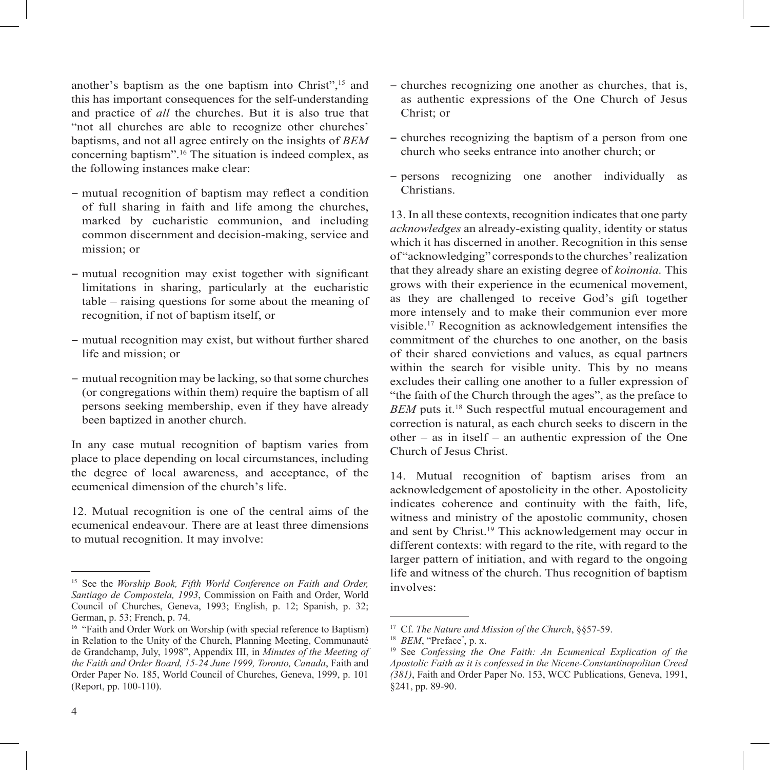another's baptism as the one baptism into Christ",<sup>15</sup> and this has important consequences for the self-understanding and practice of *all* the churches. But it is also true that "not all churches are able to recognize other churches' baptisms, and not all agree entirely on the insights of *BEM* concerning baptism".16 The situation is indeed complex, as the following instances make clear:

- − mutual recognition of baptism may reflect a condition of full sharing in faith and life among the churches, marked by eucharistic communion, and including common discernment and decision-making, service and mission; or
- − mutual recognition may exist together with significant limitations in sharing, particularly at the eucharistic table – raising questions for some about the meaning of recognition, if not of baptism itself, or
- − mutual recognition may exist, but without further shared life and mission; or
- − mutual recognition may be lacking, so that some churches (or congregations within them) require the baptism of all persons seeking membership, even if they have already been baptized in another church.

In any case mutual recognition of baptism varies from place to place depending on local circumstances, including the degree of local awareness, and acceptance, of the ecumenical dimension of the church's life.

12. Mutual recognition is one of the central aims of the ecumenical endeavour. There are at least three dimensions to mutual recognition. It may involve:

- − churches recognizing one another as churches, that is, as authentic expressions of the One Church of Jesus Christ; or
- − churches recognizing the baptism of a person from one church who seeks entrance into another church; or
- − persons recognizing one another individually as Christians.

13. In all these contexts, recognition indicates that one party *acknowledges* an already-existing quality, identity or status which it has discerned in another. Recognition in this sense of "acknowledging" corresponds to the churches' realization that they already share an existing degree of *koinonia.* This grows with their experience in the ecumenical movement, as they are challenged to receive God's gift together more intensely and to make their communion ever more visible.<sup>17</sup> Recognition as acknowledgement intensifies the commitment of the churches to one another, on the basis of their shared convictions and values, as equal partners within the search for visible unity. This by no means excludes their calling one another to a fuller expression of "the faith of the Church through the ages", as the preface to *BEM* puts it.18 Such respectful mutual encouragement and correction is natural, as each church seeks to discern in the other – as in itself – an authentic expression of the One Church of Jesus Christ.

14. Mutual recognition of baptism arises from an acknowledgement of apostolicity in the other. Apostolicity indicates coherence and continuity with the faith, life, witness and ministry of the apostolic community, chosen and sent by Christ.<sup>19</sup> This acknowledgement may occur in different contexts: with regard to the rite, with regard to the larger pattern of initiation, and with regard to the ongoing life and witness of the church. Thus recognition of baptism involves:

<sup>&</sup>lt;sup>15</sup> See the *Worship Book, Fifth World Conference on Faith and Order, Santiago de Compostela, 1993*, Commission on Faith and Order, World Council of Churches, Geneva, 1993; English, p. 12; Spanish, p. 32; German, p. 53; French, p. 74.

<sup>&</sup>lt;sup>16</sup> "Faith and Order Work on Worship (with special reference to Baptism) in Relation to the Unity of the Church, Planning Meeting, Communauté de Grandchamp, July, 1998", Appendix III, in *Minutes of the Meeting of the Faith and Order Board, 15-24 June 1999, Toronto, Canada*, Faith and Order Paper No. 185, World Council of Churches, Geneva, 1999, p. 101 (Report, pp. 100-110).

<sup>17</sup> Cf. *The Nature and Mission of the Church*, §§57-59.

<sup>&</sup>lt;sup>18</sup> *BEM*, "Preface", p. x.

<sup>19</sup> See *Confessing the One Faith: An Ecumenical Explication of the Apostolic Faith as it is confessed in the Nicene-Constantinopolitan Creed (381)*, Faith and Order Paper No. 153, WCC Publications, Geneva, 1991, §241, pp. 89-90.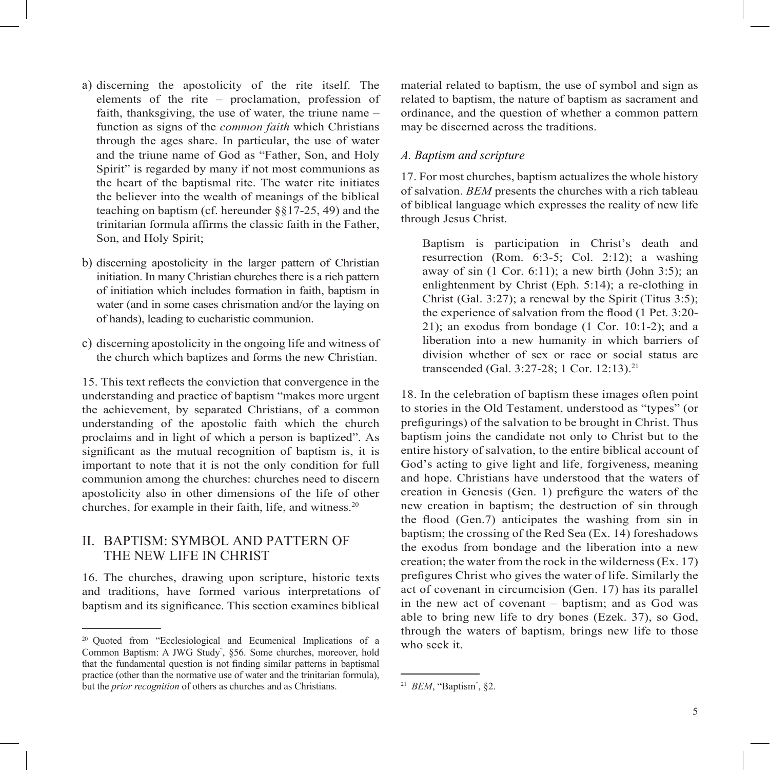- a) discerning the apostolicity of the rite itself. The elements of the rite – proclamation, profession of faith, thanksgiving, the use of water, the triune name – function as signs of the *common faith* which Christians through the ages share. In particular, the use of water and the triune name of God as "Father, Son, and Holy Spirit" is regarded by many if not most communions as the heart of the baptismal rite. The water rite initiates the believer into the wealth of meanings of the biblical teaching on baptism (cf. hereunder §§17-25, 49) and the trinitarian formula affirms the classic faith in the Father, Son, and Holy Spirit;
- b) discerning apostolicity in the larger pattern of Christian initiation. In many Christian churches there is a rich pattern of initiation which includes formation in faith, baptism in water (and in some cases chrismation and/or the laying on of hands), leading to eucharistic communion.
- c) discerning apostolicity in the ongoing life and witness of the church which baptizes and forms the new Christian.

15. This text reflects the conviction that convergence in the understanding and practice of baptism "makes more urgent the achievement, by separated Christians, of a common understanding of the apostolic faith which the church proclaims and in light of which a person is baptized". As significant as the mutual recognition of baptism is, it is important to note that it is not the only condition for full communion among the churches: churches need to discern apostolicity also in other dimensions of the life of other churches, for example in their faith, life, and witness.20

# II. BAPTISM: SYMBOL AND PATTERN OF THE NEW LIFE IN CHRIST

16. The churches, drawing upon scripture, historic texts and traditions, have formed various interpretations of baptism and its significance. This section examines biblical

material related to baptism, the use of symbol and sign as related to baptism, the nature of baptism as sacrament and ordinance, and the question of whether a common pattern may be discerned across the traditions.

#### *A. Baptism and scripture*

17. For most churches, baptism actualizes the whole history of salvation. *BEM* presents the churches with a rich tableau of biblical language which expresses the reality of new life through Jesus Christ.

Baptism is participation in Christ's death and resurrection (Rom.  $6:3-5$ ; Col. 2:12); a washing away of sin  $(1 \text{ Cor. } 6:11)$ ; a new birth  $(John 3:5)$ ; an enlightenment by Christ (Eph. 5:14); a re-clothing in Christ (Gal. 3:27); a renewal by the Spirit (Titus 3:5); the experience of salvation from the flood (1 Pet. 3:20-21); an exodus from bondage (1 Cor. 10:1-2); and a liberation into a new humanity in which barriers of division whether of sex or race or social status are transcended (Gal. 3:27-28; 1 Cor. 12:13).21

18. In the celebration of baptism these images often point to stories in the Old Testament, understood as "types" (or prefigurings) of the salvation to be brought in Christ. Thus baptism joins the candidate not only to Christ but to the entire history of salvation, to the entire biblical account of God's acting to give light and life, forgiveness, meaning and hope. Christians have understood that the waters of creation in Genesis (Gen. 1) prefigure the waters of the new creation in baptism; the destruction of sin through the flood (Gen.7) anticipates the washing from sin in baptism; the crossing of the Red Sea (Ex. 14) foreshadows the exodus from bondage and the liberation into a new creation; the water from the rock in the wilderness (Ex. 17) prefigures Christ who gives the water of life. Similarly the act of covenant in circumcision (Gen. 17) has its parallel in the new act of covenant – baptism; and as God was able to bring new life to dry bones (Ezek. 37), so God, through the waters of baptism, brings new life to those who seek it.

<sup>&</sup>lt;sup>20</sup> Ouoted from "Ecclesiological and Ecumenical Implications of a Common Baptism: A JWG Study" , §56. Some churches, moreover, hold that the fundamental question is not finding similar patterns in baptismal practice (other than the normative use of water and the trinitarian formula), but the *prior recognition* of others as churches and as Christians.

<sup>21</sup> *BEM*, "Baptism" , §2.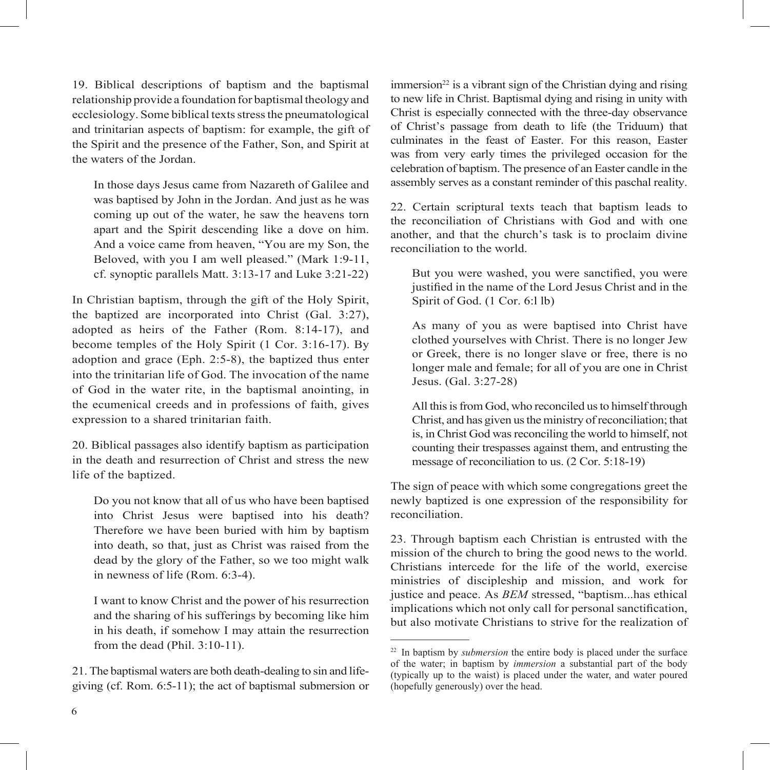19. Biblical descriptions of baptism and the baptismal relationship provide a foundation for baptismal theology and ecclesiology. Some biblical texts stress the pneumatological and trinitarian aspects of baptism: for example, the gift of the Spirit and the presence of the Father, Son, and Spirit at the waters of the Jordan.

In those days Jesus came from Nazareth of Galilee and was baptised by John in the Jordan. And just as he was coming up out of the water, he saw the heavens torn apart and the Spirit descending like a dove on him. And a voice came from heaven, "You are my Son, the Beloved, with you I am well pleased." (Mark 1:9-11, cf. synoptic parallels Matt. 3:13-17 and Luke 3:21-22)

In Christian baptism, through the gift of the Holy Spirit, the baptized are incorporated into Christ (Gal. 3:27), adopted as heirs of the Father (Rom. 8:14-17), and become temples of the Holy Spirit (1 Cor. 3:16-17). By adoption and grace (Eph. 2:5-8), the baptized thus enter into the trinitarian life of God. The invocation of the name of God in the water rite, in the baptismal anointing, in the ecumenical creeds and in professions of faith, gives expression to a shared trinitarian faith.

20. Biblical passages also identify baptism as participation in the death and resurrection of Christ and stress the new life of the baptized.

Do you not know that all of us who have been baptised into Christ Jesus were baptised into his death? Therefore we have been buried with him by baptism into death, so that, just as Christ was raised from the dead by the glory of the Father, so we too might walk in newness of life (Rom. 6:3-4).

I want to know Christ and the power of his resurrection and the sharing of his sufferings by becoming like him in his death, if somehow I may attain the resurrection from the dead (Phil. 3:10-11).

21. The baptismal waters are both death-dealing to sin and lifegiving (cf. Rom. 6:5-11); the act of baptismal submersion or

 $immersion<sup>22</sup>$  is a vibrant sign of the Christian dying and rising to new life in Christ. Baptismal dying and rising in unity with Christ is especially connected with the three-day observance of Christ's passage from death to life (the Triduum) that culminates in the feast of Easter. For this reason, Easter was from very early times the privileged occasion for the celebration of baptism. The presence of an Easter candle in the assembly serves as a constant reminder of this paschal reality.

22. Certain scriptural texts teach that baptism leads to the reconciliation of Christians with God and with one another, and that the church's task is to proclaim divine reconciliation to the world.

But you were washed, you were sanctified, you were justified in the name of the Lord Jesus Christ and in the Spirit of God. (1 Cor. 6:l lb)

As many of you as were baptised into Christ have clothed yourselves with Christ. There is no longer Jew or Greek, there is no longer slave or free, there is no longer male and female; for all of you are one in Christ Jesus. (Gal. 3:27-28)

All this is from God, who reconciled us to himself through Christ, and has given us the ministry of reconciliation; that is, in Christ God was reconciling the world to himself, not counting their trespasses against them, and entrusting the message of reconciliation to us. (2 Cor. 5:18-19)

The sign of peace with which some congregations greet the newly baptized is one expression of the responsibility for reconciliation.

23. Through baptism each Christian is entrusted with the mission of the church to bring the good news to the world. Christians intercede for the life of the world, exercise ministries of discipleship and mission, and work for justice and peace. As *BEM* stressed, "baptism...has ethical implications which not only call for personal sanctification, but also motivate Christians to strive for the realization of

<sup>&</sup>lt;sup>22</sup> In baptism by *submersion* the entire body is placed under the surface of the water; in baptism by *immersion* a substantial part of the body  $(r_{\text{w}})$  (typically up to the waist) is placed under the water, and water poured (hopefully generously) over the head.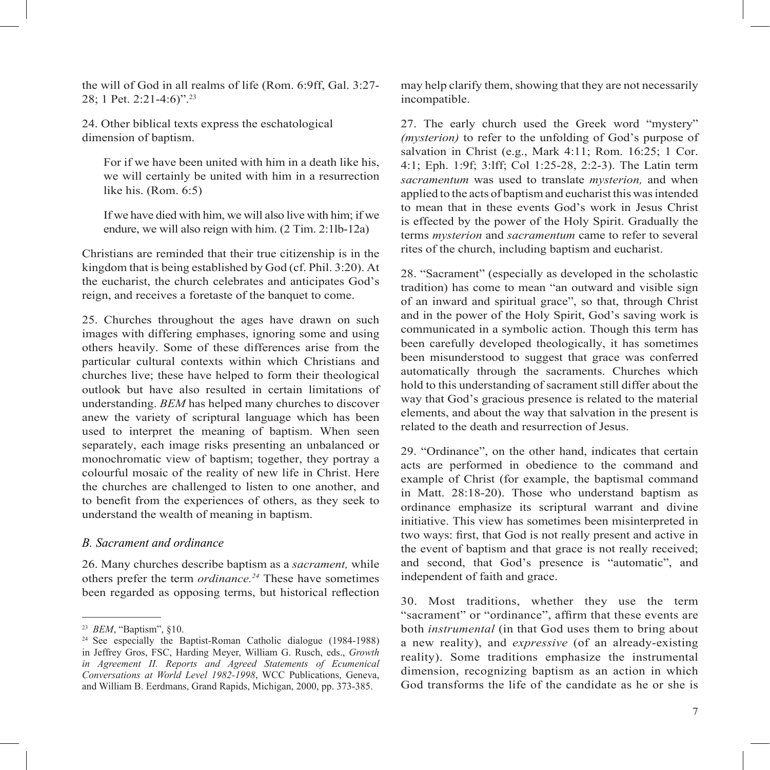the will of God in all realms of life (Rom. 6:9ff, Gal. 3:27- 28; 1 Pet. 2:21-4:6)".23

24. Other biblical texts express the eschatological dimension of baptism.

For if we have been united with him in a death like his, we will certainly be united with him in a resurrection like his. (Rom. 6:5)

If we have died with him, we will also live with him; if we endure, we will also reign with him. (2 Tim. 2:1lb-12a)

Christians are reminded that their true citizenship is in the kingdom that is being established by God (cf. Phil. 3:20). At the eucharist, the church celebrates and anticipates God's reign, and receives a foretaste of the banquet to come.

25. Churches throughout the ages have drawn on such images with differing emphases, ignoring some and using others heavily. Some of these differences arise from the particular cultural contexts within which Christians and churches live; these have helped to form their theological outlook but have also resulted in certain limitations of understanding. *BEM* has helped many churches to discover anew the variety of scriptural language which has been used to interpret the meaning of baptism. When seen separately, each image risks presenting an unbalanced or monochromatic view of baptism; together, they portray a colourful mosaic of the reality of new life in Christ. Here the churches are challenged to listen to one another, and to benefit from the experiences of others, as they seek to understand the wealth of meaning in baptism.

#### *B. Sacrament and ordinance*

26. Many churches describe baptism as a *sacrament,* while others prefer the term *ordinance.24* These have sometimes been regarded as opposing terms, but historical reflection may help clarify them, showing that they are not necessarily incompatible.

27. The early church used the Greek word "mystery" *(mysterion)* to refer to the unfolding of God's purpose of salvation in Christ (e.g., Mark 4:11; Rom. 16:25; 1 Cor. 4:1; Eph. 1:9f; 3:lff; Col 1:25-28, 2:2-3). The Latin term *sacramentum* was used to translate *mysterion,* and when applied to the acts of baptism and eucharist this was intended to mean that in these events God's work in Jesus Christ is effected by the power of the Holy Spirit. Gradually the terms *mysterion* and *sacramentum* came to refer to several rites of the church, including baptism and eucharist.

28. "Sacrament" (especially as developed in the scholastic tradition) has come to mean "an outward and visible sign of an inward and spiritual grace", so that, through Christ and in the power of the Holy Spirit, God's saving work is communicated in a symbolic action. Though this term has been carefully developed theologically, it has sometimes been misunderstood to suggest that grace was conferred automatically through the sacraments. Churches which hold to this understanding of sacrament still differ about the way that God's gracious presence is related to the material elements, and about the way that salvation in the present is related to the death and resurrection of Jesus.

29. "Ordinance", on the other hand, indicates that certain acts are performed in obedience to the command and example of Christ (for example, the baptismal command in Matt. 28:18-20). Those who understand baptism as ordinance emphasize its scriptural warrant and divine initiative. This view has sometimes been misinterpreted in two ways: first, that God is not really present and active in the event of baptism and that grace is not really received; and second, that God's presence is "automatic", and independent of faith and grace.

30. Most traditions, whether they use the term "sacrament" or "ordinance", affirm that these events are both *instrumental* (in that God uses them to bring about a new reality), and *expressive* (of an already-existing reality). Some traditions emphasize the instrumental dimension, recognizing baptism as an action in which God transforms the life of the candidate as he or she is

<sup>23</sup> *BEM*, "Baptism", §10.

 $24$  See especially the Baptist-Roman Catholic dialogue (1984-1988) in Jeffrey Gros, FSC, Harding Meyer, William G. Rusch, eds., *Growth in Agreement II. Reports and Agreed Statements of Ecumenical Conversations at World Level 1982-1998*, WCC Publications, Geneva, and William B. Eerdmans, Grand Rapids, Michigan, 2000, pp. 373-385.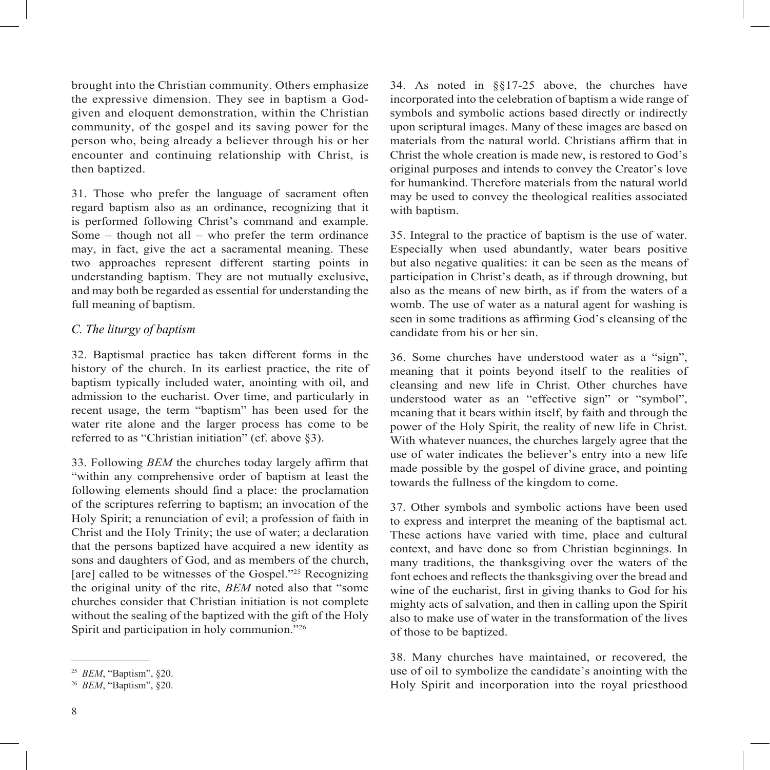brought into the Christian community. Others emphasize the expressive dimension. They see in baptism a Godgiven and eloquent demonstration, within the Christian community, of the gospel and its saving power for the person who, being already a believer through his or her encounter and continuing relationship with Christ, is then baptized.

31. Those who prefer the language of sacrament often regard baptism also as an ordinance, recognizing that it is performed following Christ's command and example. Some – though not all – who prefer the term ordinance may, in fact, give the act a sacramental meaning. These two approaches represent different starting points in understanding baptism. They are not mutually exclusive, and may both be regarded as essential for understanding the full meaning of baptism.

#### *C. The liturgy of baptism*

32. Baptismal practice has taken different forms in the history of the church. In its earliest practice, the rite of baptism typically included water, anointing with oil, and admission to the eucharist. Over time, and particularly in recent usage, the term "baptism" has been used for the water rite alone and the larger process has come to be referred to as "Christian initiation" (cf. above §3).

33. Following *BEM* the churches today largely affirm that "within any comprehensive order of baptism at least the following elements should find a place: the proclamation of the scriptures referring to baptism; an invocation of the Holy Spirit; a renunciation of evil; a profession of faith in Christ and the Holy Trinity; the use of water; a declaration that the persons baptized have acquired a new identity as sons and daughters of God, and as members of the church, [are] called to be witnesses of the Gospel."<sup>25</sup> Recognizing the original unity of the rite, *BEM* noted also that "some churches consider that Christian initiation is not complete without the sealing of the baptized with the gift of the Holy Spirit and participation in holy communion."<sup>26</sup>

34. As noted in §§17-25 above, the churches have incorporated into the celebration of baptism a wide range of symbols and symbolic actions based directly or indirectly upon scriptural images. Many of these images are based on materials from the natural world. Christians affirm that in Christ the whole creation is made new, is restored to God's original purposes and intends to convey the Creator's love for humankind. Therefore materials from the natural world may be used to convey the theological realities associated with baptism.

35. Integral to the practice of baptism is the use of water. Especially when used abundantly, water bears positive but also negative qualities: it can be seen as the means of participation in Christ's death, as if through drowning, but also as the means of new birth, as if from the waters of a womb. The use of water as a natural agent for washing is seen in some traditions as affirming God's cleansing of the candidate from his or her sin.

36. Some churches have understood water as a "sign", meaning that it points beyond itself to the realities of cleansing and new life in Christ. Other churches have understood water as an "effective sign" or "symbol", meaning that it bears within itself, by faith and through the power of the Holy Spirit, the reality of new life in Christ. With whatever nuances, the churches largely agree that the use of water indicates the believer's entry into a new life made possible by the gospel of divine grace, and pointing towards the fullness of the kingdom to come.

37. Other symbols and symbolic actions have been used to express and interpret the meaning of the baptismal act. These actions have varied with time, place and cultural context, and have done so from Christian beginnings. In many traditions, the thanksgiving over the waters of the font echoes and reflects the thanksgiving over the bread and wine of the eucharist, first in giving thanks to God for his mighty acts of salvation, and then in calling upon the Spirit also to make use of water in the transformation of the lives of those to be baptized.

38. Many churches have maintained, or recovered, the use of oil to symbolize the candidate's anointing with the Holy Spirit and incorporation into the royal priesthood

<sup>25</sup> *BEM*, "Baptism", §20.

<sup>26</sup> *BEM*, "Baptism", §20.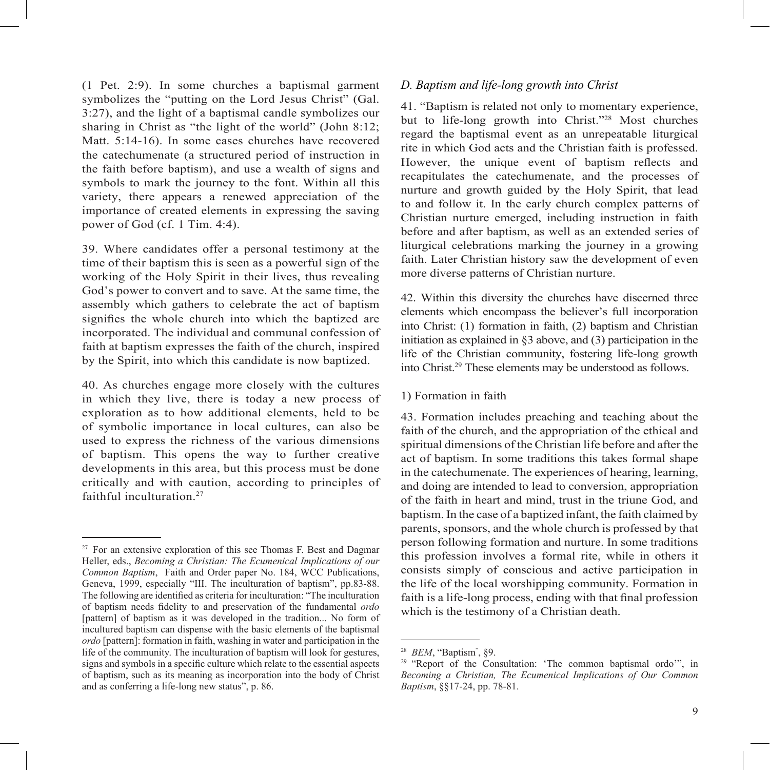(1 Pet. 2:9). In some churches a baptismal garment symbolizes the "putting on the Lord Jesus Christ" (Gal. 3:27), and the light of a baptismal candle symbolizes our sharing in Christ as "the light of the world" (John 8:12; Matt. 5:14-16). In some cases churches have recovered the catechumenate (a structured period of instruction in the faith before baptism), and use a wealth of signs and symbols to mark the journey to the font. Within all this variety, there appears a renewed appreciation of the importance of created elements in expressing the saving power of God (cf. 1 Tim. 4:4).

39. Where candidates offer a personal testimony at the time of their baptism this is seen as a powerful sign of the working of the Holy Spirit in their lives, thus revealing God's power to convert and to save. At the same time, the assembly which gathers to celebrate the act of baptism signifies the whole church into which the baptized are incorporated. The individual and communal confession of faith at baptism expresses the faith of the church, inspired by the Spirit, into which this candidate is now baptized.

40. As churches engage more closely with the cultures in which they live, there is today a new process of exploration as to how additional elements, held to be of symbolic importance in local cultures, can also be used to express the richness of the various dimensions of baptism. This opens the way to further creative developments in this area, but this process must be done critically and with caution, according to principles of faithful inculturation.<sup>27</sup>

#### *D. Baptism and life-long growth into Christ*

41. "Baptism is related not only to momentary experience, but to life-long growth into Christ."28 Most churches regard the baptismal event as an unrepeatable liturgical rite in which God acts and the Christian faith is professed. However, the unique event of baptism reflects and recapitulates the catechumenate, and the processes of nurture and growth guided by the Holy Spirit, that lead to and follow it. In the early church complex patterns of Christian nurture emerged, including instruction in faith before and after baptism, as well as an extended series of liturgical celebrations marking the journey in a growing faith. Later Christian history saw the development of even more diverse patterns of Christian nurture.

42. Within this diversity the churches have discerned three elements which encompass the believer's full incorporation into Christ: (1) formation in faith, (2) baptism and Christian initiation as explained in §3 above, and (3) participation in the life of the Christian community, fostering life-long growth into Christ.29 These elements may be understood as follows.

#### 1) Formation in faith

43. Formation includes preaching and teaching about the faith of the church, and the appropriation of the ethical and spiritual dimensions of the Christian life before and after the act of baptism. In some traditions this takes formal shape in the catechumenate. The experiences of hearing, learning, and doing are intended to lead to conversion, appropriation of the faith in heart and mind, trust in the triune God, and baptism. In the case of a baptized infant, the faith claimed by parents, sponsors, and the whole church is professed by that person following formation and nurture. In some traditions this profession involves a formal rite, while in others it consists simply of conscious and active participation in the life of the local worshipping community. Formation in faith is a life-long process, ending with that final profession which is the testimony of a Christian death.

 $27$  For an extensive exploration of this see Thomas F. Best and Dagmar Heller, eds., *Becoming a Christian: The Ecumenical Implications of our Common Baptism*, Faith and Order paper No. 184, WCC Publications, Geneva, 1999, especially "III. The inculturation of baptism", pp.83-88. The following are identified as criteria for inculturation: "The inculturation of baptism needs fidelity to and preservation of the fundamental *ordo* [pattern] of baptism as it was developed in the tradition... No form of incultured baptism can dispense with the basic elements of the baptismal *ordo* [pattern]: formation in faith, washing in water and participation in the life of the community. The inculturation of baptism will look for gestures, signs and symbols in a specific culture which relate to the essential aspects of baptism, such as its meaning as incorporation into the body of Christ and as conferring a life-long new status", p. 86.

<sup>28</sup> *BEM*, "Baptism" , §9.

<sup>&</sup>lt;sup>29</sup> "Report of the Consultation: 'The common baptismal ordo'", in *Becoming a Christian, The Ecumenical Implications of Our Common Baptism*, §§17-24, pp. 78-81.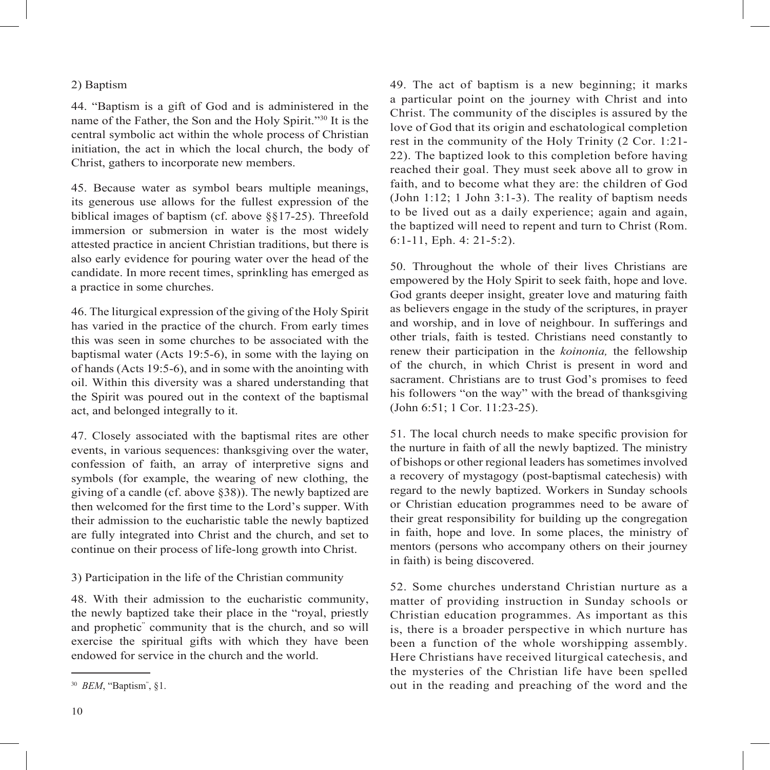#### 2) Baptism

44. "Baptism is a gift of God and is administered in the name of the Father, the Son and the Holy Spirit."30 It is the central symbolic act within the whole process of Christian initiation, the act in which the local church, the body of Christ, gathers to incorporate new members.

45. Because water as symbol bears multiple meanings, its generous use allows for the fullest expression of the biblical images of baptism (cf. above §§17-25). Threefold immersion or submersion in water is the most widely attested practice in ancient Christian traditions, but there is also early evidence for pouring water over the head of the candidate. In more recent times, sprinkling has emerged as a practice in some churches.

46. The liturgical expression of the giving of the Holy Spirit has varied in the practice of the church. From early times this was seen in some churches to be associated with the baptismal water (Acts 19:5-6), in some with the laying on of hands (Acts 19:5-6), and in some with the anointing with oil. Within this diversity was a shared understanding that the Spirit was poured out in the context of the baptismal act, and belonged integrally to it.

47. Closely associated with the baptismal rites are other events, in various sequences: thanksgiving over the water, confession of faith, an array of interpretive signs and symbols (for example, the wearing of new clothing, the giving of a candle (cf. above §38)). The newly baptized are then welcomed for the first time to the Lord's supper. With their admission to the eucharistic table the newly baptized are fully integrated into Christ and the church, and set to continue on their process of life-long growth into Christ.

#### 3) Participation in the life of the Christian community

48. With their admission to the eucharistic community, the newly baptized take their place in the "royal, priestly and prophetic" community that is the church, and so will exercise the spiritual gifts with which they have been endowed for service in the church and the world.

49. The act of baptism is a new beginning; it marks a particular point on the journey with Christ and into Christ. The community of the disciples is assured by the love of God that its origin and eschatological completion rest in the community of the Holy Trinity (2 Cor. 1:21- 22). The baptized look to this completion before having reached their goal. They must seek above all to grow in faith, and to become what they are: the children of God (John 1:12; 1 John 3:1-3). The reality of baptism needs to be lived out as a daily experience; again and again, the baptized will need to repent and turn to Christ (Rom. 6:1-11, Eph. 4: 21-5:2).

50. Throughout the whole of their lives Christians are empowered by the Holy Spirit to seek faith, hope and love. God grants deeper insight, greater love and maturing faith as believers engage in the study of the scriptures, in prayer and worship, and in love of neighbour. In sufferings and other trials, faith is tested. Christians need constantly to renew their participation in the *koinonia,* the fellowship of the church, in which Christ is present in word and sacrament. Christians are to trust God's promises to feed his followers "on the way" with the bread of thanksgiving (John 6:51; 1 Cor. 11:23-25).

51. The local church needs to make specific provision for the nurture in faith of all the newly baptized. The ministry of bishops or other regional leaders has sometimes involved a recovery of mystagogy (post-baptismal catechesis) with regard to the newly baptized. Workers in Sunday schools or Christian education programmes need to be aware of their great responsibility for building up the congregation in faith, hope and love. In some places, the ministry of mentors (persons who accompany others on their journey in faith) is being discovered.

52. Some churches understand Christian nurture as a matter of providing instruction in Sunday schools or Christian education programmes. As important as this is, there is a broader perspective in which nurture has been a function of the whole worshipping assembly. Here Christians have received liturgical catechesis, and the mysteries of the Christian life have been spelled out in the reading and preaching of the word and the

<sup>30</sup> *BEM*, "Baptism" , §1.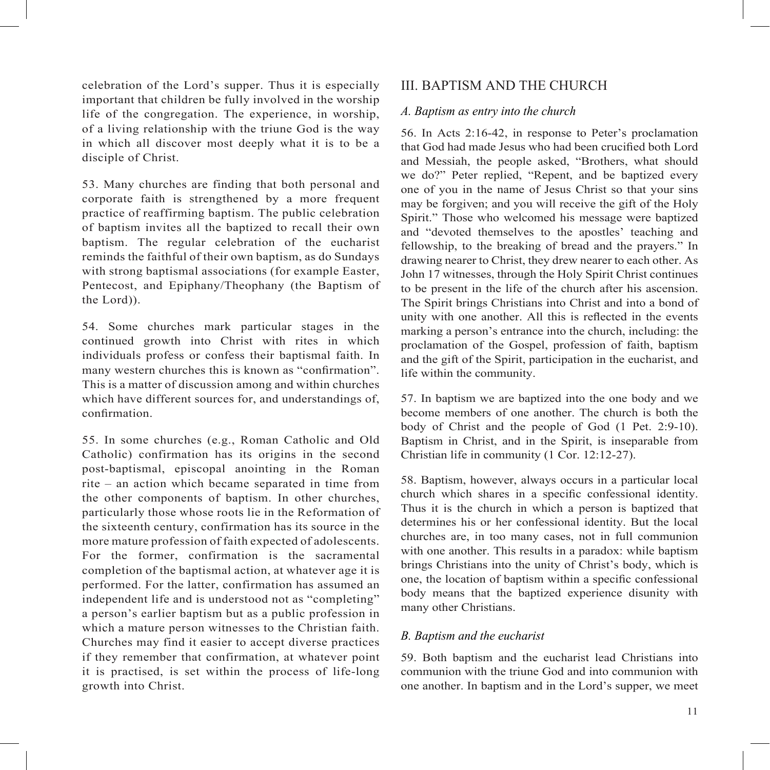celebration of the Lord's supper. Thus it is especially important that children be fully involved in the worship life of the congregation. The experience, in worship, of a living relationship with the triune God is the way in which all discover most deeply what it is to be a disciple of Christ.

53. Many churches are finding that both personal and corporate faith is strengthened by a more frequent practice of reaffirming baptism. The public celebration of baptism invites all the baptized to recall their own baptism. The regular celebration of the eucharist reminds the faithful of their own baptism, as do Sundays with strong baptismal associations (for example Easter, Pentecost, and Epiphany/Theophany (the Baptism of the Lord)).

54. Some churches mark particular stages in the continued growth into Christ with rites in which individuals profess or confess their baptismal faith. In many western churches this is known as "confirmation". This is a matter of discussion among and within churches which have different sources for, and understandings of, confirmation

55. In some churches (e.g., Roman Catholic and Old Catholic) confirmation has its origins in the second post-baptismal, episcopal anointing in the Roman rite – an action which became separated in time from the other components of baptism. In other churches, particularly those whose roots lie in the Reformation of the sixteenth century, confirmation has its source in the more mature profession of faith expected of adolescents. For the former, confirmation is the sacramental completion of the baptismal action, at whatever age it is performed. For the latter, confirmation has assumed an independent life and is understood not as "completing" a person's earlier baptism but as a public profession in which a mature person witnesses to the Christian faith. Churches may find it easier to accept diverse practices if they remember that confirmation, at whatever point it is practised, is set within the process of life-long growth into Christ.

# III. BAPTISM AND THE CHURCH

#### *A. Baptism as entry into the church*

56. In Acts 2:16-42, in response to Peter's proclamation that God had made Jesus who had been crucified both Lord and Messiah, the people asked, "Brothers, what should we do?" Peter replied, "Repent, and be baptized every one of you in the name of Jesus Christ so that your sins may be forgiven; and you will receive the gift of the Holy Spirit." Those who welcomed his message were baptized and "devoted themselves to the apostles' teaching and fellowship, to the breaking of bread and the prayers." In drawing nearer to Christ, they drew nearer to each other. As John 17 witnesses, through the Holy Spirit Christ continues to be present in the life of the church after his ascension. The Spirit brings Christians into Christ and into a bond of unity with one another. All this is reflected in the events marking a person's entrance into the church, including: the proclamation of the Gospel, profession of faith, baptism and the gift of the Spirit, participation in the eucharist, and life within the community.

57. In baptism we are baptized into the one body and we become members of one another. The church is both the body of Christ and the people of God (1 Pet. 2:9-10). Baptism in Christ, and in the Spirit, is inseparable from Christian life in community (1 Cor. 12:12-27).

58. Baptism, however, always occurs in a particular local church which shares in a specific confessional identity. Thus it is the church in which a person is baptized that determines his or her confessional identity. But the local churches are, in too many cases, not in full communion with one another. This results in a paradox: while baptism brings Christians into the unity of Christ's body, which is one, the location of baptism within a specific confessional body means that the baptized experience disunity with many other Christians.

#### *B. Baptism and the eucharist*

59. Both baptism and the eucharist lead Christians into communion with the triune God and into communion with one another. In baptism and in the Lord's supper, we meet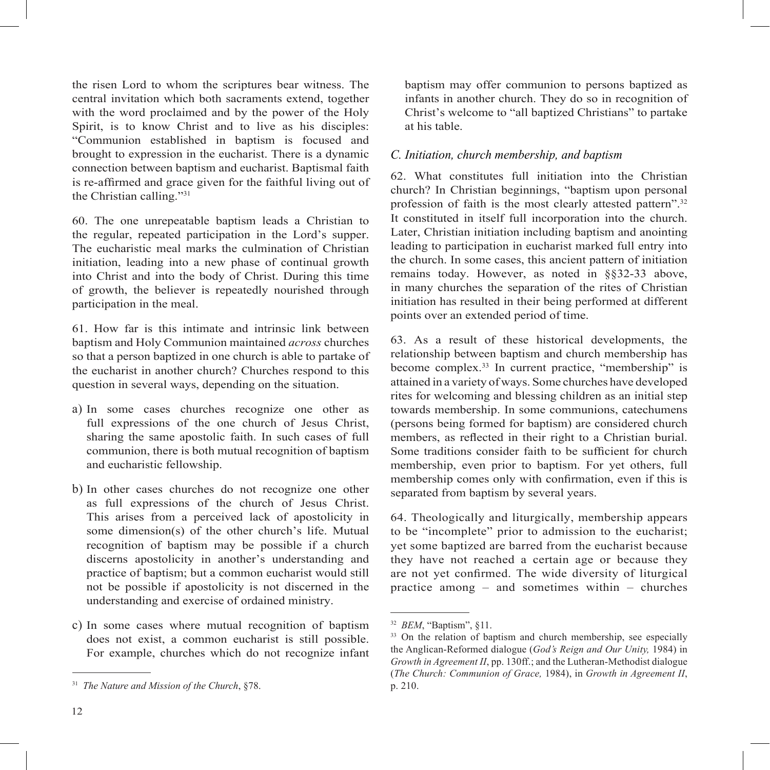the risen Lord to whom the scriptures bear witness. The central invitation which both sacraments extend, together with the word proclaimed and by the power of the Holy Spirit, is to know Christ and to live as his disciples: "Communion established in baptism is focused and brought to expression in the eucharist. There is a dynamic connection between baptism and eucharist. Baptismal faith is re-affirmed and grace given for the faithful living out of the Christian calling."31

60. The one unrepeatable baptism leads a Christian to the regular, repeated participation in the Lord's supper. The eucharistic meal marks the culmination of Christian initiation, leading into a new phase of continual growth into Christ and into the body of Christ. During this time of growth, the believer is repeatedly nourished through participation in the meal.

61. How far is this intimate and intrinsic link between baptism and Holy Communion maintained *across* churches so that a person baptized in one church is able to partake of the eucharist in another church? Churches respond to this question in several ways, depending on the situation.

- a) In some cases churches recognize one other as full expressions of the one church of Jesus Christ, sharing the same apostolic faith. In such cases of full communion, there is both mutual recognition of baptism and eucharistic fellowship.
- b) In other cases churches do not recognize one other as full expressions of the church of Jesus Christ. This arises from a perceived lack of apostolicity in some dimension(s) of the other church's life. Mutual recognition of baptism may be possible if a church discerns apostolicity in another's understanding and practice of baptism; but a common eucharist would still not be possible if apostolicity is not discerned in the understanding and exercise of ordained ministry.
- c) In some cases where mutual recognition of baptism does not exist, a common eucharist is still possible. For example, churches which do not recognize infant

baptism may offer communion to persons baptized as infants in another church. They do so in recognition of Christ's welcome to "all baptized Christians" to partake at his table.

#### *C. Initiation, church membership, and baptism*

62. What constitutes full initiation into the Christian church? In Christian beginnings, "baptism upon personal profession of faith is the most clearly attested pattern".32 It constituted in itself full incorporation into the church. Later, Christian initiation including baptism and anointing leading to participation in eucharist marked full entry into the church. In some cases, this ancient pattern of initiation remains today. However, as noted in §§32-33 above, in many churches the separation of the rites of Christian initiation has resulted in their being performed at different points over an extended period of time.

63. As a result of these historical developments, the relationship between baptism and church membership has become complex.33 In current practice, "membership" is attained in a variety of ways. Some churches have developed rites for welcoming and blessing children as an initial step towards membership. In some communions, catechumens (persons being formed for baptism) are considered church members, as reflected in their right to a Christian burial. Some traditions consider faith to be sufficient for church membership, even prior to baptism. For yet others, full membership comes only with confirmation, even if this is separated from baptism by several years.

64. Theologically and liturgically, membership appears to be "incomplete" prior to admission to the eucharist; yet some baptized are barred from the eucharist because they have not reached a certain age or because they are not yet confirmed. The wide diversity of liturgical practice among – and sometimes within – churches

<sup>31</sup> *The Nature and Mission of the Church*, §78.

<sup>32</sup> *BEM*, "Baptism", §11.

 $33$  On the relation of baptism and church membership, see especially the Anglican-Reformed dialogue (*God's Reign and Our Unity,* 1984) in *Growth in Agreement II*, pp. 130ff.; and the Lutheran-Methodist dialogue (*The Church: Communion of Grace,* 1984), in *Growth in Agreement II*, p. 210.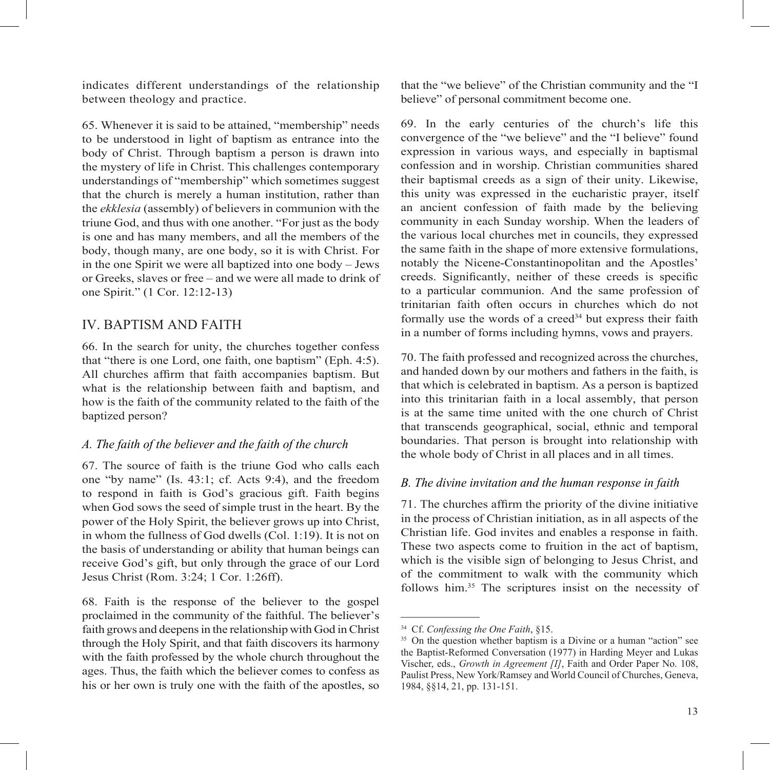indicates different understandings of the relationship between theology and practice.

65. Whenever it is said to be attained, "membership" needs to be understood in light of baptism as entrance into the body of Christ. Through baptism a person is drawn into the mystery of life in Christ. This challenges contemporary understandings of "membership" which sometimes suggest that the church is merely a human institution, rather than the *ekklesia* (assembly) of believers in communion with the triune God, and thus with one another. "For just as the body is one and has many members, and all the members of the body, though many, are one body, so it is with Christ. For in the one Spirit we were all baptized into one body – Jews or Greeks, slaves or free – and we were all made to drink of one Spirit." (1 Cor. 12:12-13)

# IV. BAPTISM AND FAITH

66. In the search for unity, the churches together confess that "there is one Lord, one faith, one baptism" (Eph. 4:5). All churches affirm that faith accompanies baptism. But what is the relationship between faith and baptism, and how is the faith of the community related to the faith of the baptized person?

#### *A. The faith of the believer and the faith of the church*

67. The source of faith is the triune God who calls each one "by name" (Is. 43:1; cf. Acts 9:4), and the freedom to respond in faith is God's gracious gift. Faith begins when God sows the seed of simple trust in the heart. By the power of the Holy Spirit, the believer grows up into Christ, in whom the fullness of God dwells (Col. 1:19). It is not on the basis of understanding or ability that human beings can receive God's gift, but only through the grace of our Lord Jesus Christ (Rom. 3:24; 1 Cor. 1:26ff).

68. Faith is the response of the believer to the gospel proclaimed in the community of the faithful. The believer's faith grows and deepens in the relationship with God in Christ through the Holy Spirit, and that faith discovers its harmony with the faith professed by the whole church throughout the ages. Thus, the faith which the believer comes to confess as his or her own is truly one with the faith of the apostles, so

that the "we believe" of the Christian community and the "I believe" of personal commitment become one.

69. In the early centuries of the church's life this convergence of the "we believe" and the "I believe" found expression in various ways, and especially in baptismal confession and in worship. Christian communities shared their baptismal creeds as a sign of their unity. Likewise, this unity was expressed in the eucharistic prayer, itself an ancient confession of faith made by the believing community in each Sunday worship. When the leaders of the various local churches met in councils, they expressed the same faith in the shape of more extensive formulations, notably the Nicene-Constantinopolitan and the Apostles' creeds. Significantly, neither of these creeds is specific to a particular communion. And the same profession of trinitarian faith often occurs in churches which do not formally use the words of a creed<sup>34</sup> but express their faith in a number of forms including hymns, vows and prayers.

70. The faith professed and recognized across the churches, and handed down by our mothers and fathers in the faith, is that which is celebrated in baptism. As a person is baptized into this trinitarian faith in a local assembly, that person is at the same time united with the one church of Christ that transcends geographical, social, ethnic and temporal boundaries. That person is brought into relationship with the whole body of Christ in all places and in all times.

#### *B. The divine invitation and the human response in faith*

71. The churches affirm the priority of the divine initiative in the process of Christian initiation, as in all aspects of the Christian life. God invites and enables a response in faith. These two aspects come to fruition in the act of baptism, which is the visible sign of belonging to Jesus Christ, and of the commitment to walk with the community which follows him.35 The scriptures insist on the necessity of

<sup>34</sup> Cf. *Confessing the One Faith*, §15.

<sup>&</sup>lt;sup>35</sup> On the question whether baptism is a Divine or a human "action" see the Baptist-Reformed Conversation (1977) in Harding Meyer and Lukas Vischer, eds., *Growth in Agreement [I]*, Faith and Order Paper No. 108, Paulist Press, New York/Ramsey and World Council of Churches, Geneva, 1984, §§14, 21, pp. 131-151.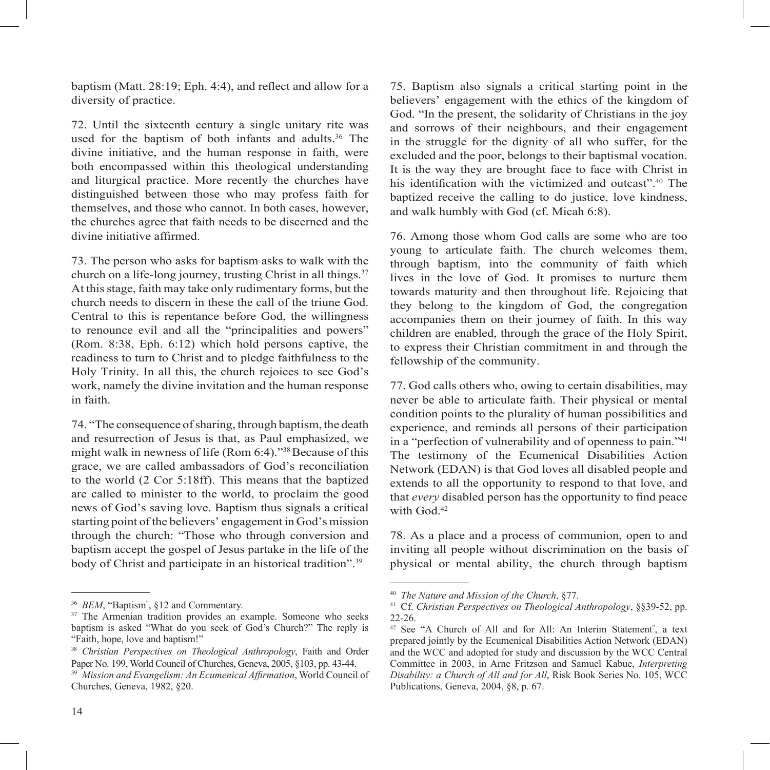baptism (Matt.  $28:19$ ; Eph. 4:4), and reflect and allow for a diversity of practice.

72. Until the sixteenth century a single unitary rite was used for the baptism of both infants and adults.<sup>36</sup> The divine initiative, and the human response in faith, were both encompassed within this theological understanding and liturgical practice. More recently the churches have distinguished between those who may profess faith for themselves, and those who cannot. In both cases, however, the churches agree that faith needs to be discerned and the divine initiative affirmed.

73. The person who asks for baptism asks to walk with the church on a life-long journey, trusting Christ in all things.<sup>37</sup> At this stage, faith may take only rudimentary forms, but the church needs to discern in these the call of the triune God. Central to this is repentance before God, the willingness to renounce evil and all the "principalities and powers" (Rom. 8:38, Eph. 6:12) which hold persons captive, the readiness to turn to Christ and to pledge faithfulness to the Holy Trinity. In all this, the church rejoices to see God's work, namely the divine invitation and the human response in faith.

74. "The consequence of sharing, through baptism, the death and resurrection of Jesus is that, as Paul emphasized, we might walk in newness of life (Rom 6:4)."38 Because of this grace, we are called ambassadors of God's reconciliation to the world (2 Cor 5:18ff). This means that the baptized are called to minister to the world, to proclaim the good news of God's saving love. Baptism thus signals a critical starting point of the believers' engagement in God's mission through the church: "Those who through conversion and baptism accept the gospel of Jesus partake in the life of the body of Christ and participate in an historical tradition".<sup>39</sup>

75. Baptism also signals a critical starting point in the believers' engagement with the ethics of the kingdom of God. "In the present, the solidarity of Christians in the joy and sorrows of their neighbours, and their engagement in the struggle for the dignity of all who suffer, for the excluded and the poor, belongs to their baptismal vocation. It is the way they are brought face to face with Christ in his identification with the victimized and outcast".<sup>40</sup> The baptized receive the calling to do justice, love kindness, and walk humbly with God (cf. Micah 6:8).

76. Among those whom God calls are some who are too young to articulate faith. The church welcomes them, through baptism, into the community of faith which lives in the love of God. It promises to nurture them towards maturity and then throughout life. Rejoicing that they belong to the kingdom of God, the congregation accompanies them on their journey of faith. In this way children are enabled, through the grace of the Holy Spirit, to express their Christian commitment in and through the fellowship of the community.

77. God calls others who, owing to certain disabilities, may never be able to articulate faith. Their physical or mental condition points to the plurality of human possibilities and experience, and reminds all persons of their participation in a "perfection of vulnerability and of openness to pain."41 The testimony of the Ecumenical Disabilities Action Network (EDAN) is that God loves all disabled people and extends to all the opportunity to respond to that love, and that *every* disabled person has the opportunity to find peace with God<sup>42</sup>

78. As a place and a process of communion, open to and inviting all people without discrimination on the basis of physical or mental ability, the church through baptism

<sup>36</sup> *BEM*, "Baptism" , §12 and Commentary.

<sup>&</sup>lt;sup>37</sup> The Armenian tradition provides an example. Someone who seeks baptism is asked "What do you seek of God's Church?" The reply is "Faith, hope, love and baptism!"

<sup>38</sup> *Christian Perspectives on Theological Anthropology*, Faith and Order Paper No. 199, World Council of Churches, Geneva, 2005, §103, pp. 43-44. <sup>39</sup> Mission and Evangelism: An Ecumenical Affirmation, World Council of Churches, Geneva, 1982, §20.

<sup>40</sup> *The Nature and Mission of the Church*, §77.

<sup>41</sup> Cf. *Christian Perspectives on Theological Anthropology*, §§39-52, pp. 22-26.

<sup>&</sup>lt;sup>42</sup> See "A Church of All and for All: An Interim Statement<sup>"</sup>, a text prepared jointly by the Ecumenical Disabilities Action Network (EDAN) and the WCC and adopted for study and discussion by the WCC Central Committee in 2003, in Arne Fritzson and Samuel Kabue, *Interpreting Disability: a Church of All and for All*, Risk Book Series No. 105, WCC Publications, Geneva, 2004, §8, p. 67.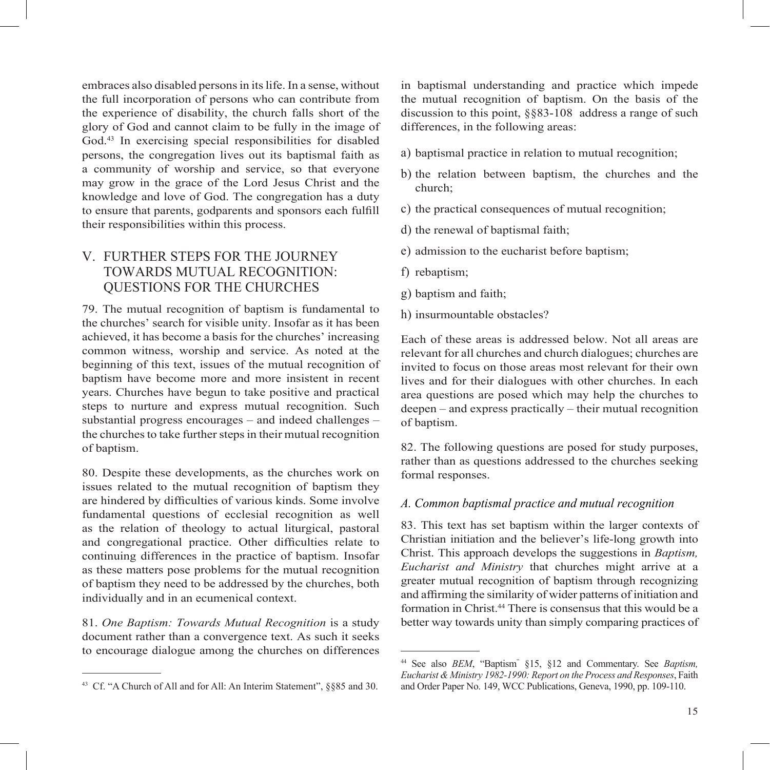embraces also disabled persons in its life. In a sense, without the full incorporation of persons who can contribute from the experience of disability, the church falls short of the glory of God and cannot claim to be fully in the image of God.43 In exercising special responsibilities for disabled persons, the congregation lives out its baptismal faith as a community of worship and service, so that everyone may grow in the grace of the Lord Jesus Christ and the knowledge and love of God. The congregation has a duty to ensure that parents, godparents and sponsors each fulfill their responsibilities within this process.

# V. FURTHER STEPS FOR THE JOURNEY TOWARDS MUTUAL RECOGNITION: QUESTIONS FOR THE CHURCHES

79. The mutual recognition of baptism is fundamental to the churches' search for visible unity. Insofar as it has been achieved, it has become a basis for the churches' increasing common witness, worship and service. As noted at the beginning of this text, issues of the mutual recognition of baptism have become more and more insistent in recent years. Churches have begun to take positive and practical steps to nurture and express mutual recognition. Such substantial progress encourages – and indeed challenges – the churches to take further steps in their mutual recognition of baptism.

80. Despite these developments, as the churches work on issues related to the mutual recognition of baptism they are hindered by difficulties of various kinds. Some involve fundamental questions of ecclesial recognition as well as the relation of theology to actual liturgical, pastoral and congregational practice. Other difficulties relate to continuing differences in the practice of baptism. Insofar as these matters pose problems for the mutual recognition of baptism they need to be addressed by the churches, both individually and in an ecumenical context.

81. *One Baptism: Towards Mutual Recognition* is a study document rather than a convergence text. As such it seeks to encourage dialogue among the churches on differences

in baptismal understanding and practice which impede the mutual recognition of baptism. On the basis of the discussion to this point, §§83-108 address a range of such differences, in the following areas:

- a) baptismal practice in relation to mutual recognition;
- b) the relation between baptism, the churches and the church;
- c) the practical consequences of mutual recognition;
- d) the renewal of baptismal faith;
- e) admission to the eucharist before baptism;
- f) rebaptism;
- g) baptism and faith;
- h) insurmountable obstacles?

Each of these areas is addressed below. Not all areas are relevant for all churches and church dialogues; churches are invited to focus on those areas most relevant for their own lives and for their dialogues with other churches. In each area questions are posed which may help the churches to deepen – and express practically – their mutual recognition of baptism.

82. The following questions are posed for study purposes, rather than as questions addressed to the churches seeking formal responses.

#### *A. Common baptismal practice and mutual recognition*

83. This text has set baptism within the larger contexts of Christian initiation and the believer's life-long growth into Christ. This approach develops the suggestions in *Baptism, Eucharist and Ministry* that churches might arrive at a greater mutual recognition of baptism through recognizing and affirming the similarity of wider patterns of initiation and formation in Christ.44 There is consensus that this would be a better way towards unity than simply comparing practices of

<sup>43</sup> Cf. "A Church of All and for All: An Interim Statement", §§85 and 30.

<sup>44</sup> See also *BEM*, "Baptism" §15, §12 and Commentary. See *Baptism, Eucharist & Ministry 1982-1990: Report on the Process and Responses*, Faith and Order Paper No. 149, WCC Publications, Geneva, 1990, pp. 109-110.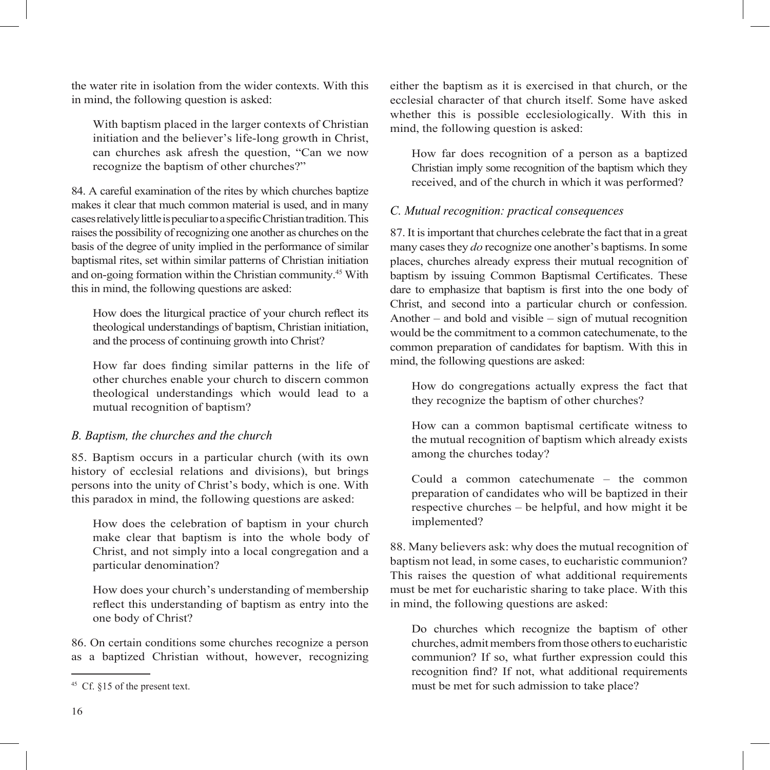the water rite in isolation from the wider contexts. With this in mind, the following question is asked:

With baptism placed in the larger contexts of Christian initiation and the believer's life-long growth in Christ, can churches ask afresh the question, "Can we now recognize the baptism of other churches?"

84. A careful examination of the rites by which churches baptize makes it clear that much common material is used, and in many cases relatively little is peculiar to a specific Christian tradition. This raises the possibility of recognizing one another as churches on the basis of the degree of unity implied in the performance of similar baptismal rites, set within similar patterns of Christian initiation and on-going formation within the Christian community.45 With this in mind, the following questions are asked:

How does the liturgical practice of your church reflect its theological understandings of baptism, Christian initiation, and the process of continuing growth into Christ?

How far does finding similar patterns in the life of other churches enable your church to discern common theological understandings which would lead to a mutual recognition of baptism?

#### *B. Baptism, the churches and the church*

85. Baptism occurs in a particular church (with its own history of ecclesial relations and divisions), but brings persons into the unity of Christ's body, which is one. With this paradox in mind, the following questions are asked:

How does the celebration of baptism in your church make clear that baptism is into the whole body of Christ, and not simply into a local congregation and a particular denomination?

How does your church's understanding of membership reflect this understanding of baptism as entry into the one body of Christ?

86. On certain conditions some churches recognize a person as a baptized Christian without, however, recognizing either the baptism as it is exercised in that church, or the ecclesial character of that church itself. Some have asked whether this is possible ecclesiologically. With this in mind, the following question is asked:

How far does recognition of a person as a baptized Christian imply some recognition of the baptism which they received, and of the church in which it was performed?

#### *C. Mutual recognition: practical consequences*

87. It is important that churches celebrate the fact that in a great many cases they *do* recognize one another's baptisms. In some places, churches already express their mutual recognition of baptism by issuing Common Baptismal Certificates. These dare to emphasize that baptism is first into the one body of Christ, and second into a particular church or confession. Another – and bold and visible – sign of mutual recognition would be the commitment to a common catechumenate, to the common preparation of candidates for baptism. With this in mind, the following questions are asked:

How do congregations actually express the fact that they recognize the baptism of other churches?

How can a common baptismal certificate witness to the mutual recognition of baptism which already exists among the churches today?

Could a common catechumenate – the common preparation of candidates who will be baptized in their respective churches – be helpful, and how might it be implemented?

88. Many believers ask: why does the mutual recognition of baptism not lead, in some cases, to eucharistic communion? This raises the question of what additional requirements must be met for eucharistic sharing to take place. With this in mind, the following questions are asked:

Do churches which recognize the baptism of other churches, admit members from those others to eucharistic communion? If so, what further expression could this recognition find? If not, what additional requirements must be met for such admission to take place?

 $45$  Cf.  $$15$  of the present text.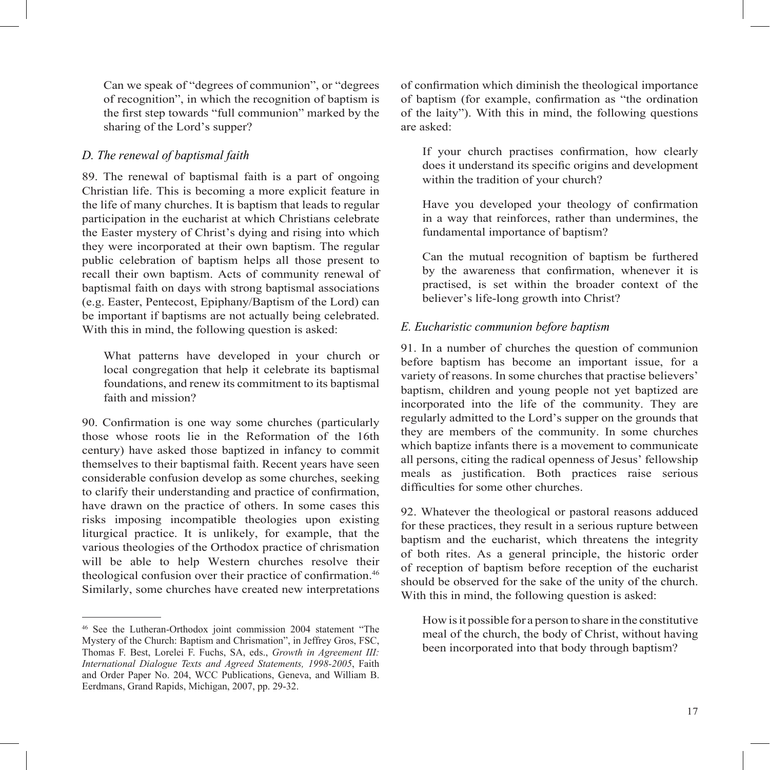Can we speak of "degrees of communion", or "degrees of recognition", in which the recognition of baptism is the first step towards "full communion" marked by the sharing of the Lord's supper?

#### *D. The renewal of baptismal faith*

89. The renewal of baptismal faith is a part of ongoing Christian life. This is becoming a more explicit feature in the life of many churches. It is baptism that leads to regular participation in the eucharist at which Christians celebrate the Easter mystery of Christ's dying and rising into which they were incorporated at their own baptism. The regular public celebration of baptism helps all those present to recall their own baptism. Acts of community renewal of baptismal faith on days with strong baptismal associations (e.g. Easter, Pentecost, Epiphany/Baptism of the Lord) can be important if baptisms are not actually being celebrated. With this in mind, the following question is asked:

What patterns have developed in your church or local congregation that help it celebrate its baptismal foundations, and renew its commitment to its baptismal faith and mission?

90. Confirmation is one way some churches (particularly those whose roots lie in the Reformation of the 16th century) have asked those baptized in infancy to commit themselves to their baptismal faith. Recent years have seen considerable confusion develop as some churches, seeking to clarify their understanding and practice of confirmation, have drawn on the practice of others. In some cases this risks imposing incompatible theologies upon existing liturgical practice. It is unlikely, for example, that the various theologies of the Orthodox practice of chrismation will be able to help Western churches resolve their theological confusion over their practice of confirmation.<sup>46</sup> Similarly, some churches have created new interpretations

of confirmation which diminish the theological importance of baptism (for example, confirmation as "the ordination of the laity"). With this in mind, the following questions are asked:

If your church practises confirmation, how clearly does it understand its specific origins and development within the tradition of your church?

Have you developed your theology of confirmation in a way that reinforces, rather than undermines, the fundamental importance of baptism?

Can the mutual recognition of baptism be furthered by the awareness that confirmation, whenever it is practised, is set within the broader context of the believer's life-long growth into Christ?

# *E. Eucharistic communion before baptism*

91. In a number of churches the question of communion before baptism has become an important issue, for a variety of reasons. In some churches that practise believers' baptism, children and young people not yet baptized are incorporated into the life of the community. They are regularly admitted to the Lord's supper on the grounds that they are members of the community. In some churches which baptize infants there is a movement to communicate all persons, citing the radical openness of Jesus' fellowship meals as justification. Both practices raise serious difficulties for some other churches.

92. Whatever the theological or pastoral reasons adduced for these practices, they result in a serious rupture between baptism and the eucharist, which threatens the integrity of both rites. As a general principle, the historic order of reception of baptism before reception of the eucharist should be observed for the sake of the unity of the church. With this in mind, the following question is asked:

How is it possible for a person to share in the constitutive meal of the church, the body of Christ, without having been incorporated into that body through baptism?

<sup>46</sup> See the Lutheran-Orthodox joint commission 2004 statement "The Mystery of the Church: Baptism and Chrismation", in Jeffrey Gros, FSC, Thomas F. Best, Lorelei F. Fuchs, SA, eds., *Growth in Agreement III: International Dialogue Texts and Agreed Statements, 1998-2005*, Faith and Order Paper No. 204, WCC Publications, Geneva, and William B. Eerdmans, Grand Rapids, Michigan, 2007, pp. 29-32.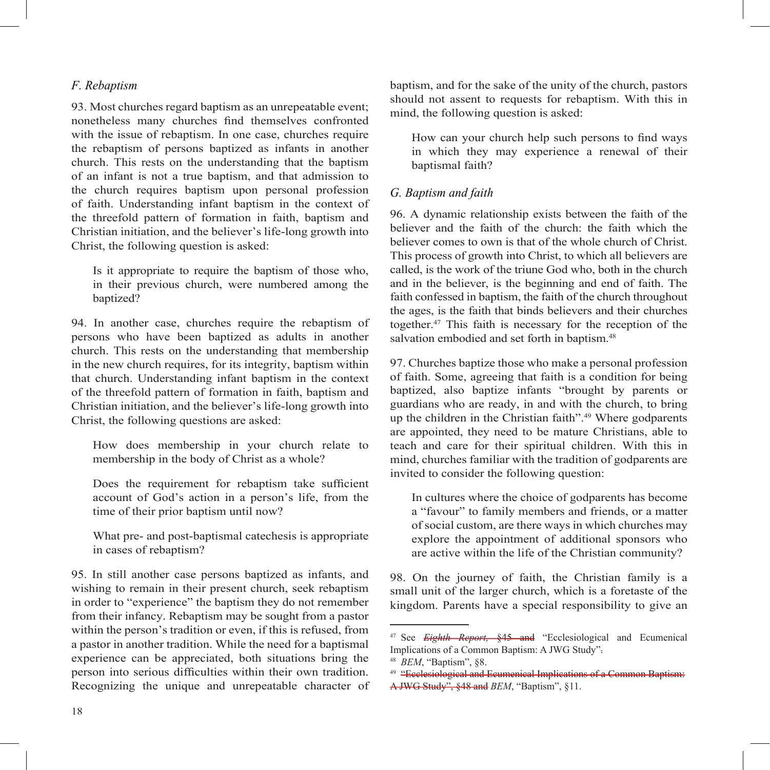#### *F. Rebaptism*

93. Most churches regard baptism as an unrepeatable event; nonetheless many churches find themselves confronted with the issue of rebaptism. In one case, churches require the rebaptism of persons baptized as infants in another church. This rests on the understanding that the baptism of an infant is not a true baptism, and that admission to the church requires baptism upon personal profession of faith. Understanding infant baptism in the context of the threefold pattern of formation in faith, baptism and Christian initiation, and the believer's life-long growth into Christ, the following question is asked:

Is it appropriate to require the baptism of those who, in their previous church, were numbered among the baptized?

94. In another case, churches require the rebaptism of persons who have been baptized as adults in another church. This rests on the understanding that membership in the new church requires, for its integrity, baptism within that church. Understanding infant baptism in the context of the threefold pattern of formation in faith, baptism and Christian initiation, and the believer's life-long growth into Christ, the following questions are asked:

How does membership in your church relate to membership in the body of Christ as a whole?

Does the requirement for rebaptism take sufficient account of God's action in a person's life, from the time of their prior baptism until now?

What pre- and post-baptismal catechesis is appropriate in cases of rebaptism?

95. In still another case persons baptized as infants, and wishing to remain in their present church, seek rebaptism in order to "experience" the baptism they do not remember from their infancy. Rebaptism may be sought from a pastor within the person's tradition or even, if this is refused, from a pastor in another tradition. While the need for a baptismal experience can be appreciated, both situations bring the person into serious difficulties within their own tradition. Recognizing the unique and unrepeatable character of baptism, and for the sake of the unity of the church, pastors should not assent to requests for rebaptism. With this in mind, the following question is asked:

How can your church help such persons to find ways in which they may experience a renewal of their baptismal faith?

#### *G. Baptism and faith*

96. A dynamic relationship exists between the faith of the believer and the faith of the church: the faith which the believer comes to own is that of the whole church of Christ. This process of growth into Christ, to which all believers are called, is the work of the triune God who, both in the church and in the believer, is the beginning and end of faith. The faith confessed in baptism, the faith of the church throughout the ages, is the faith that binds believers and their churches together.47 This faith is necessary for the reception of the salvation embodied and set forth in baptism.<sup>48</sup>

97. Churches baptize those who make a personal profession of faith. Some, agreeing that faith is a condition for being baptized, also baptize infants "brought by parents or guardians who are ready, in and with the church, to bring up the children in the Christian faith".49 Where godparents are appointed, they need to be mature Christians, able to teach and care for their spiritual children. With this in mind, churches familiar with the tradition of godparents are invited to consider the following question:

In cultures where the choice of godparents has become a "favour" to family members and friends, or a matter of social custom, are there ways in which churches may explore the appointment of additional sponsors who are active within the life of the Christian community?

98. On the journey of faith, the Christian family is a small unit of the larger church, which is a foretaste of the kingdom. Parents have a special responsibility to give an

<sup>47</sup> See *Eighth Report,* §45 and "Ecclesiological and Ecumenical Implications of a Common Baptism: A JWG Study".

<sup>48</sup> *BEM*, "Baptism", §8.

<sup>49</sup> "Ecclesiological and Ecumenical Implications of a Common Baptism: A JWG Study", §48 and *BEM*, "Baptism", §11.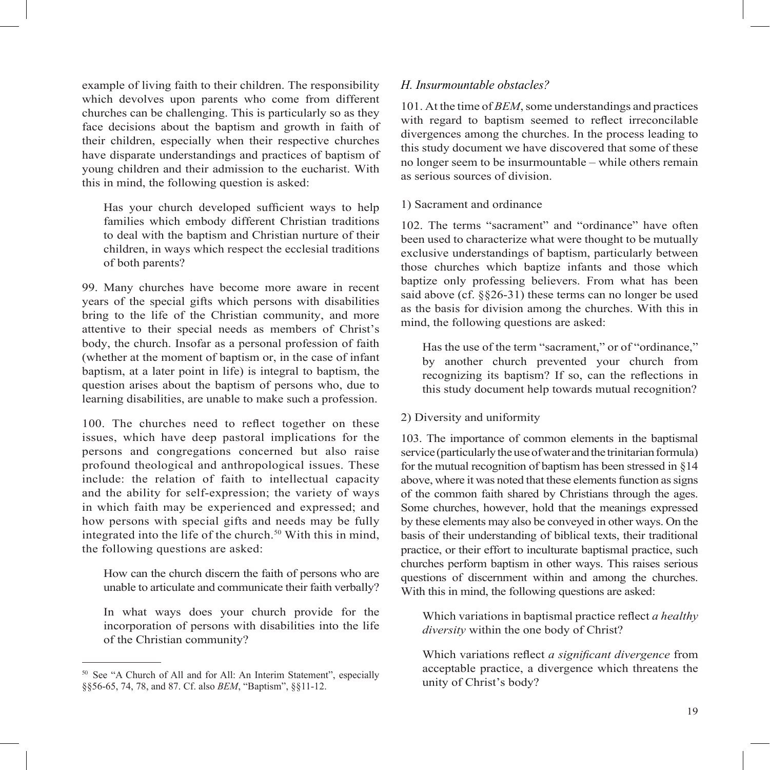example of living faith to their children. The responsibility which devolves upon parents who come from different churches can be challenging. This is particularly so as they face decisions about the baptism and growth in faith of their children, especially when their respective churches have disparate understandings and practices of baptism of young children and their admission to the eucharist. With this in mind, the following question is asked:

Has your church developed sufficient ways to help families which embody different Christian traditions to deal with the baptism and Christian nurture of their children, in ways which respect the ecclesial traditions of both parents?

99. Many churches have become more aware in recent years of the special gifts which persons with disabilities bring to the life of the Christian community, and more attentive to their special needs as members of Christ's body, the church. Insofar as a personal profession of faith (whether at the moment of baptism or, in the case of infant baptism, at a later point in life) is integral to baptism, the question arises about the baptism of persons who, due to learning disabilities, are unable to make such a profession.

100. The churches need to reflect together on these issues, which have deep pastoral implications for the persons and congregations concerned but also raise profound theological and anthropological issues. These include: the relation of faith to intellectual capacity and the ability for self-expression; the variety of ways in which faith may be experienced and expressed; and how persons with special gifts and needs may be fully integrated into the life of the church. $50$  With this in mind, the following questions are asked:

How can the church discern the faith of persons who are unable to articulate and communicate their faith verbally?

In what ways does your church provide for the incorporation of persons with disabilities into the life of the Christian community?

#### *H. Insurmountable obstacles?*

101. At the time of *BEM*, some understandings and practices with regard to baptism seemed to reflect irreconcilable divergences among the churches. In the process leading to this study document we have discovered that some of these no longer seem to be insurmountable – while others remain as serious sources of division.

#### 1) Sacrament and ordinance

102. The terms "sacrament" and "ordinance" have often been used to characterize what were thought to be mutually exclusive understandings of baptism, particularly between those churches which baptize infants and those which baptize only professing believers. From what has been said above (cf. §§26-31) these terms can no longer be used as the basis for division among the churches. With this in mind, the following questions are asked:

Has the use of the term "sacrament," or of "ordinance," by another church prevented your church from recognizing its baptism? If so, can the reflections in this study document help towards mutual recognition?

#### 2) Diversity and uniformity

103. The importance of common elements in the baptismal service (particularly the use of water and the trinitarian formula) for the mutual recognition of baptism has been stressed in §14 above, where it was noted that these elements function as signs of the common faith shared by Christians through the ages. Some churches, however, hold that the meanings expressed by these elements may also be conveyed in other ways. On the basis of their understanding of biblical texts, their traditional practice, or their effort to inculturate baptismal practice, such churches perform baptism in other ways. This raises serious questions of discernment within and among the churches. With this in mind, the following questions are asked:

Which variations in baptismal practice reflect *a healthy diversity* within the one body of Christ?

Which variations reflect *a significant divergence* from acceptable practice, a divergence which threatens the unity of Christ's body?

<sup>50</sup> See "A Church of All and for All: An Interim Statement", especially §§56-65, 74, 78, and 87. Cf. also *BEM*, "Baptism", §§11-12.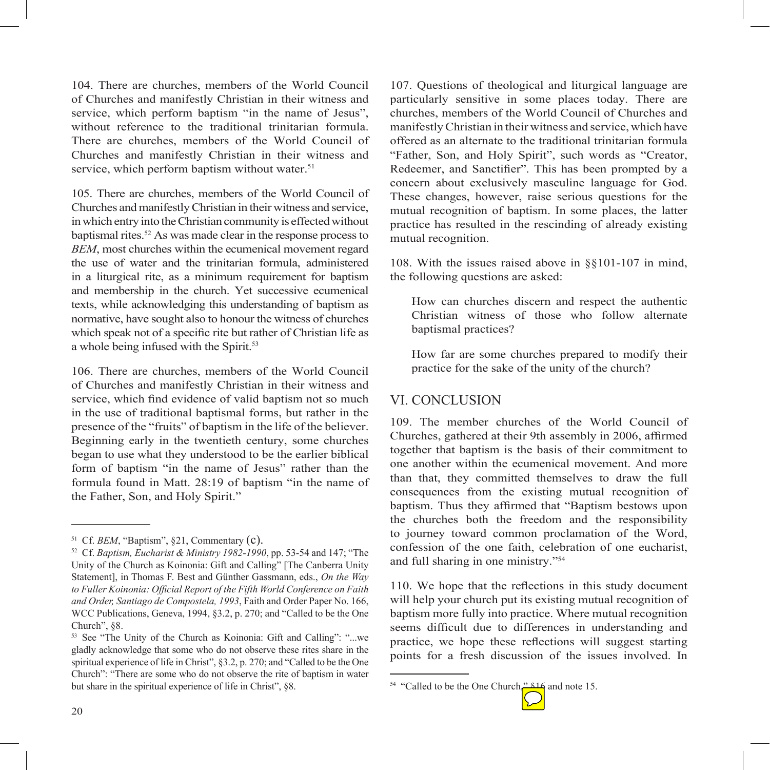104. There are churches, members of the World Council of Churches and manifestly Christian in their witness and service, which perform baptism "in the name of Jesus", without reference to the traditional trinitarian formula. There are churches, members of the World Council of Churches and manifestly Christian in their witness and service, which perform baptism without water.<sup>51</sup>

105. There are churches, members of the World Council of Churches and manifestly Christian in their witness and service, in which entry into the Christian community is effected without baptismal rites.<sup>52</sup> As was made clear in the response process to *BEM*, most churches within the ecumenical movement regard the use of water and the trinitarian formula, administered in a liturgical rite, as a minimum requirement for baptism and membership in the church. Yet successive ecumenical texts, while acknowledging this understanding of baptism as normative, have sought also to honour the witness of churches which speak not of a specific rite but rather of Christian life as a whole being infused with the Spirit.<sup>53</sup>

106. There are churches, members of the World Council of Churches and manifestly Christian in their witness and service, which find evidence of valid baptism not so much in the use of traditional baptismal forms, but rather in the presence of the "fruits" of baptism in the life of the believer. Beginning early in the twentieth century, some churches began to use what they understood to be the earlier biblical form of baptism "in the name of Jesus" rather than the formula found in Matt. 28:19 of baptism "in the name of the Father, Son, and Holy Spirit."

107. Questions of theological and liturgical language are particularly sensitive in some places today. There are churches, members of the World Council of Churches and manifestly Christian in their witness and service, which have offered as an alternate to the traditional trinitarian formula "Father, Son, and Holy Spirit", such words as "Creator, Redeemer, and Sanctifier". This has been prompted by a concern about exclusively masculine language for God. These changes, however, raise serious questions for the mutual recognition of baptism. In some places, the latter practice has resulted in the rescinding of already existing mutual recognition.

108. With the issues raised above in §§101-107 in mind, the following questions are asked:

How can churches discern and respect the authentic Christian witness of those who follow alternate baptismal practices?

How far are some churches prepared to modify their practice for the sake of the unity of the church?

#### VI. CONCLUSION

109. The member churches of the World Council of Churches, gathered at their 9th assembly in 2006, affirmed together that baptism is the basis of their commitment to one another within the ecumenical movement. And more than that, they committed themselves to draw the full consequences from the existing mutual recognition of baptism. Thus they affirmed that "Baptism bestows upon the churches both the freedom and the responsibility to journey toward common proclamation of the Word, confession of the one faith, celebration of one eucharist, and full sharing in one ministry."54

110. We hope that the reflections in this study document will help your church put its existing mutual recognition of baptism more fully into practice. Where mutual recognition seems difficult due to differences in understanding and practice, we hope these reflections will suggest starting points for a fresh discussion of the issues involved. In

<sup>&</sup>lt;sup>54</sup> "Called to be the One Church," 816 and note 15.



<sup>51</sup> Cf. *BEM*, "Baptism", §21, Commentary (c).

<sup>52</sup> Cf. *Baptism, Eucharist & Ministry 1982-1990*, pp. 53-54 and 147; "The Unity of the Church as Koinonia: Gift and Calling" [The Canberra Unity Statement], in Thomas F. Best and Günther Gassmann, eds., *On the Way*  to Fuller Koinonia: Official Report of the Fifth World Conference on Faith *and Order, Santiago de Compostela, 1993*, Faith and Order Paper No. 166, WCC Publications, Geneva, 1994, §3.2, p. 270; and "Called to be the One Church", §8.

<sup>53</sup> See "The Unity of the Church as Koinonia: Gift and Calling": "...we gladly acknowledge that some who do not observe these rites share in the spiritual experience of life in Christ", §3.2, p. 270; and "Called to be the One Church": "There are some who do not observe the rite of baptism in water but share in the spiritual experience of life in Christ", §8.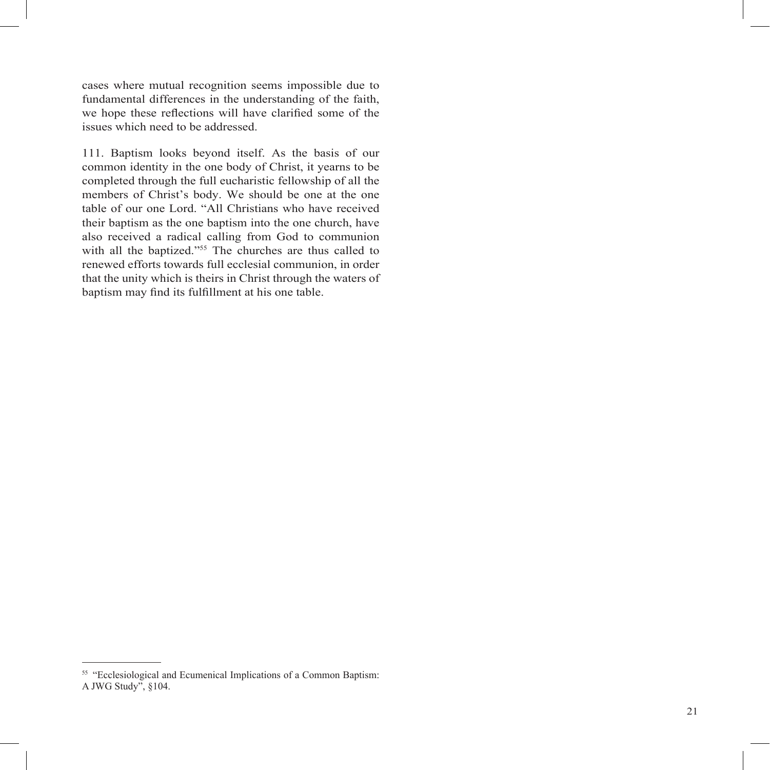cases where mutual recognition seems impossible due to fundamental differences in the understanding of the faith, we hope these reflections will have clarified some of the issues which need to be addressed.

111. Baptism looks beyond itself. As the basis of our common identity in the one body of Christ, it yearns to be completed through the full eucharistic fellowship of all the members of Christ's body. We should be one at the one table of our one Lord. "All Christians who have received their baptism as the one baptism into the one church, have also received a radical calling from God to communion with all the baptized."55 The churches are thus called to renewed efforts towards full ecclesial communion, in order that the unity which is theirs in Christ through the waters of baptism may find its fulfillment at his one table.

<sup>55</sup> "Ecclesiological and Ecumenical Implications of a Common Baptism: A JWG Study", §104.